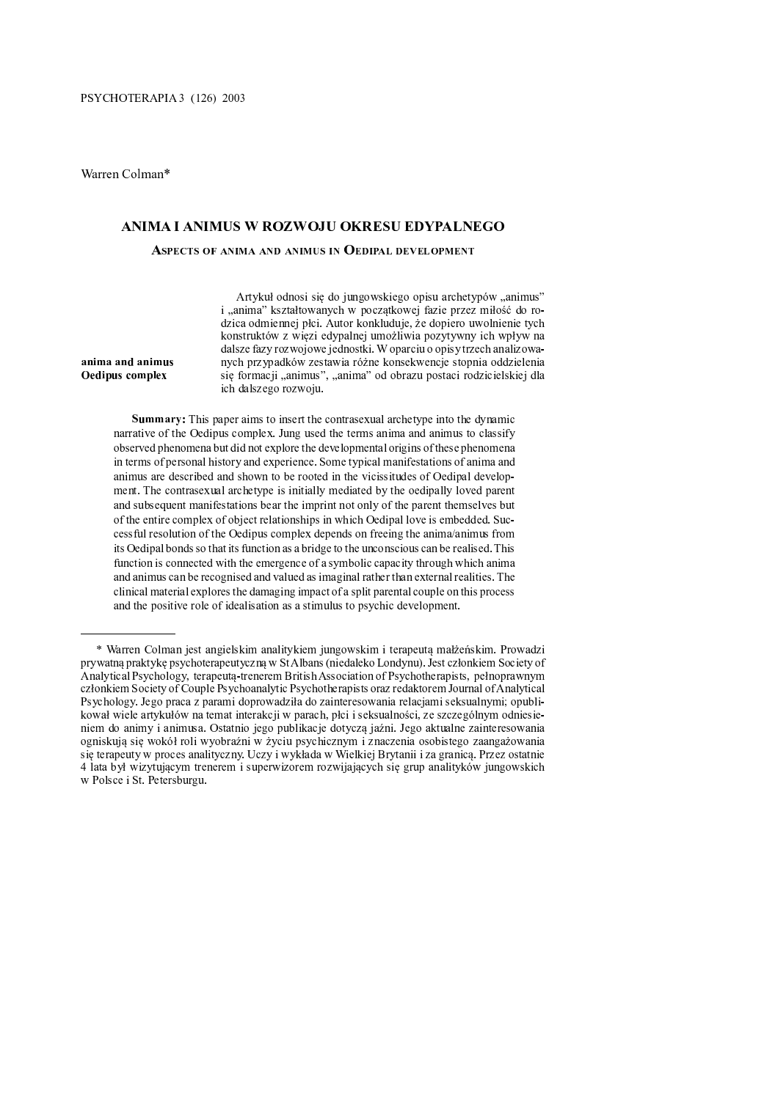# ANIMA I ANIMUS W ROZWOJU OKRESU EDYPALNEG

### .  $\mathcal{O}(\mathcal{A})$  ,  $\mathcal{O}(\mathcal{A})$  ,  $\mathcal{O}(\mathcal{A})$  ,  $\mathcal{O}(\mathcal{A})$  ,  $\mathcal{O}(\mathcal{A})$  ,  $\mathcal{O}(\mathcal{A})$  ,  $\mathcal{O}(\mathcal{A})$  ,  $\mathcal{O}(\mathcal{A})$

P <sup>o</sup> <sup>S</sup> <sup>Y</sup> <sup>P</sup> <sup>V</sup> <sup>S</sup> <sup>p</sup> <sup>k</sup> <sup>Q</sup> <sup>q</sup> <sup>W</sup> <sup>S</sup> <sup>l</sup> <sup>W</sup> <sup>X</sup> <sup>f</sup> <sup>S</sup> <sup>Y</sup> ^ <sup>Z</sup> <sup>O</sup> <sup>f</sup> <sup>R</sup> <sup>X</sup> <sup>Z</sup> <sup>q</sup> <sup>r</sup> <sup>W</sup> <sup>k</sup> <sup>X</sup> <sup>f</sup> <sup>T</sup> <sup>i</sup> <sup>a</sup> <sup>S</sup> <sup>q</sup> <sup>P</sup> <sup>T</sup> <sup>R</sup> <sup>U</sup> <sup>q</sup> <sup>T</sup> <sup>q</sup> <sup>V</sup> <sup>P</sup> <sup>l</sup> <sup>X</sup> <sup>s</sup> <sup>t</sup> \_ <sup>X</sup> <sup>U</sup> <sup>X</sup> <sup>g</sup>  $S$  , the S  $S$  in the S i  $S$  i  $S$  i  $S$  w  $\bar{S}$  i  $\bar{S}$  and  $\bar{S}$   $\bar{S}$  and  $\bar{S}$   $\bar{S}$   $\bar{S}$   $\bar{S}$   $\bar{S}$   $\bar{S}$   $\bar{S}$   $\bar{S}$   $\bar{S}$   $\bar{S}$   $\bar{S}$   $\bar{S}$   $\bar{S}$   $\bar{S}$   $\bar{S}$   $\bar{S}$   $\bar{S}$  $\mathbf{P} \cdot \mathbf{P} = \mathbf{P} \cdot \mathbf{P} \cdot \mathbf{P}$ 

 $\mathfrak{g}_{\mathrm{meas}}$  and  $\mathfrak{g}_{\mathrm{meas}}$  and  $\mathfrak{g}_{\mathrm{meas}}$  and  $\mathfrak{g}_{\mathrm{meas}}$  and  $\mathfrak{g}_{\mathrm{meas}}$  and  $\mathfrak{g}_{\mathrm{meas}}$  and  $\mathfrak{g}_{\mathrm{meas}}$  $Y$  is a write  $Y$  of the contract of the contract of the contract of the contract of the contract of the contract of the contract of the contract of the contract of the contract of the contract of the contract of the con S <sup>Y</sup> <sup>P</sup> <sup>V</sup> \ <sup>Q</sup> <sup>S</sup> <sup>U</sup> <sup>T</sup> \_ <sup>T</sup> <sup>Q</sup> <sup>Z</sup> <sup>U</sup> <sup>P</sup> <sup>e</sup> <sup>T</sup> \_ <sup>S</sup> <sup>Y</sup> \_ <sup>Q</sup> <sup>O</sup> <sup>X</sup> <sup>f</sup> <sup>Y</sup> <sup>W</sup> <sup>X</sup> <sup>e</sup> <sup>T</sup> <sup>U</sup> <sup>X</sup> <sup>X</sup> <sup>W</sup> <sup>T</sup> \_ <sup>P</sup> <sup>Y</sup> <sup>W</sup> <sup>O</sup> <sup>T</sup> ` <sup>P</sup> <sup>Z</sup> <sup>P</sup> <sup>Q</sup> <sup>Q</sup> <sup>P</sup> <sup>W</sup> \ \_ <sup>T</sup> <sup>Q</sup> <sup>X</sup> <sup>a</sup> <sup>T</sup> \_ <sup>P</sup> <sup>R</sup> <sup>S</sup> ] \_ <sup>T</sup> ` <sup>T</sup> ] <sup>X</sup> <sup>R</sup> <sup>g</sup>

# = <sup>&</sup>gt; ? @ <sup>=</sup> <sup>=</sup> <sup>&</sup>gt; <sup>A</sup> <sup>=</sup> <sup>&</sup>gt; ? @ <sup>B</sup> <sup>C</sup>  $\Omega$  **F**  $\Omega$

 $x$  , we see that the set of the set of the set of the set of the set of the set of the set of the set of the set of the set of the set of the set of the set of the set of the set of the set of the set of the set of the s  $R$  in the set of the set of the set of the set of the set of the set of the set of the set of the set of the set of the set of the set of the set of the set of the set of the set of the set of the set of the set of the s  $Z$  and  $Z$  and  $Z$  or  $Z$  or  $Z$  or  $Z$  or  $Z$  or  $Z$  or  $Z$  and  $Z$   $\to$   $Z$   $\to$   $Z$   $\to$   $Z$   $\to$   $Z$   $\to$   $Z$   $\to$   $Z$   $\to$   $Z$   $\to$   $Z$   $\to$   $Z$   $\to$   $Z$   $\to$   $Z$   $\to$   $Z$   $\to$   $Z$   $\to$   $Z$   $\to$   $Z$   $\to$   $Z$   $\to$   $Z$  <sup>Q</sup> ^ <sup>Z</sup> <sup>O</sup> <sup>X</sup> ] <sup>X</sup> <sup>d</sup> ^ <sup>b</sup> <sup>c</sup> <sup>T</sup> <sup>d</sup> <sup>X</sup> <sup>R</sup> <sup>U</sup> <sup>S</sup> <sup>Z</sup> <sup>S</sup> <sup>q</sup> <sup>R</sup> <sup>S</sup> <sup>U</sup> <sup>S</sup> <sup>V</sup> <sup>P</sup> \_ <sup>X</sup> <sup>R</sup> <sup>U</sup> <sup>X</sup> <sup>f</sup> <sup>S</sup> \_ <sup>q</sup> <sup>P</sup> <sup>l</sup> <sup>S</sup> \_ <sup>X</sup> <sup>q</sup> <sup>S</sup> <sup>P</sup> <sup>Y</sup> <sup>W</sup> <sup>T</sup> <sup>U</sup> <sup>T</sup> <sup>Q</sup> <sup>X</sup> <sup>f</sup> <sup>S</sup> <sup>Y</sup> <sup>P</sup> <sup>S</sup> <sup>U</sup> <sup>T</sup> ] <sup>S</sup> <sup>Z</sup> <sup>i</sup> <sup>S</sup> <sup>V</sup> <sup>P</sup> <sup>Q</sup> <sup>T</sup> <sup>k</sup> <sup>Q</sup> \ <sup>S</sup> ] <sup>Y</sup> ^ <sup>V</sup> <sup>P</sup> <sup>|</sup> <sup>X</sup> <sup>R</sup> \ <sup>e</sup> ] <sup>P</sup> <sup>g</sup>  $Y$  , and the set of the set of the set of the set of the set of the set of the set of the set of the set of the set of the set of the set of the set of the set of the set of the set of the set of the set of the set of th X <sup>d</sup> <sup>Y</sup> <sup>P</sup> <sup>Q</sup> <sup>k</sup> \ <sup>i</sup> <sup>r</sup> <sup>Q</sup> <sup>P</sup> <sup>m</sup> <sup>f</sup> <sup>X</sup> <sup>k</sup> <sup>n</sup> <sup>l</sup> <sup>U</sup> <sup>X</sup> ] <sup>P</sup> <sup>f</sup> ^ <sup>X</sup> <sup>e</sup> <sup>U</sup> <sup>S</sup> } <sup>Y</sup> <sup>P</sup> <sup>f</sup> <sup>v</sup> ^ <sup>Z</sup> <sup>P</sup> \ <sup>R</sup> <sup>Q</sup> ^ <sup>Z</sup> <sup>O</sup> <sup>P</sup> <sup>Z</sup> <sup>q</sup> <sup>Y</sup> ^ <sup>V</sup> <sup>P</sup> <sup>q</sup> <sup>Y</sup> <sup>S</sup> <sup>Z</sup> <sup>q</sup> <sup>T</sup> <sup>Y</sup> <sup>P</sup> <sup>S</sup> <sup>X</sup> <sup>Q</sup> <sup>X</sup> <sup>e</sup> <sup>P</sup> <sup>Q</sup> <sup>W</sup> <sup>T</sup> <sup>d</sup> <sup>X</sup> <sup>q</sup> <sup>S</sup> <sup>S</sup> <sup>Y</sup> <sup>d</sup> <sup>S</sup> <sup>v</sup> <sup>X</sup> <sup>f</sup> <sup>S</sup> <sup>Y</sup> <sup>P</sup> <sup>S</sup> się terapeuty w proces analityczny. Uczy i wykłada w Wielkiej Brytanii i za granicą. Przez ostatni ]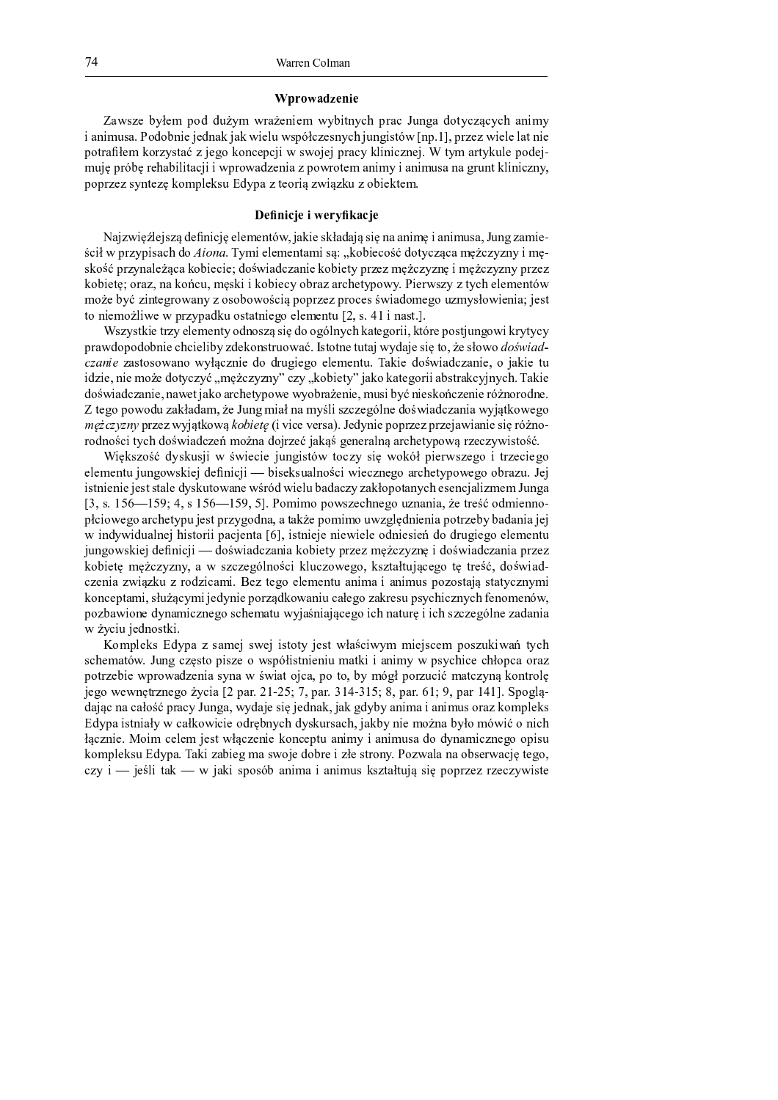# Wprowadzenie

Zawsze byłem pod dużym wrażeniem wybitnych prac Junga dotyczących animy i animusa. Podobnie jednak jak wielu współczesnych jungistów [np.1], przez wiele lat nie potrafiłem korzystać z jego koncepcji w swojej pracy klinicznej. W tym artykule podejmuje próbe rehabilitacji i wprowadzenia z powrotem animy i animusa na grunt kliniczny, poprzez syntezę kompleksu Edypa z teorią związku z obiektem.

# Definicje i weryfikacje

Najzwięźlejszą definicję elementów, jakie składają się na anime i animusa, Jung zamieścił w przypisach do Aiona. Tymi elementami są: "kobiecość dotycząca mężczyzny i męskość przynależąca kobiecie; doświadczanie kobiety przez mężczyznę i mężczyzny przez kobietę; oraz, na końcu, męski i kobiecy obraz archetypowy. Pierwszy z tych elementów może być zintegrowany z osobowością poprzez proces świadomego uzmysłowienia; jest to niemożliwe w przypadku ostatniego elementu [2, s. 41 i nast.].

Wszystkie trzy elementy odnoszą się do ogólnych kategorii, które postjungowi krytycy prawdopodobnie chcieliby zdekonstruować. Istotne tutaj wydaje się to, że słowo *doświad*czanie zastosowano wyłącznie do drugiego elementu. Takie doświadczanie, o jakie tu idzie, nie może dotyczyć "mężczyzny" czy "kobiety" jako kategorii abstrakcyjnych. Takie doświadczanie, nawet jako archetypowe wyobrażenie, musi być nieskończenie różnorodne. Z tego powodu zakładam, że Jung miał na myśli szczególne doświadczania wyjątkowego mężczyzny przez wyjątkową kobietę (i vice versa). Jedynie poprzez przejawianie się różnorodności tych doświadczeń można dojrzeć jakąś generalną archetypową rzeczywistość.

Większość dyskusji w świecie jungistów toczy się wokół pierwszego i trzeciego elementu jungowskiej definicji — biseksualności wiecznego archetypowego obrazu. Jej istnienie jest stale dyskutowane wśród wielu badaczy zakłopotanych esencjalizmem Junga [3, s.  $156 - 159$ ; 4, s  $156 - 159$ , 5]. Pomimo powszechnego uznania, że treść odmiennopłciowego archetypu jest przygodna, a także pomimo uwzględnienia potrzeby badania jej w indywidualnej historii pacjenta [6], istnieje niewiele odniesień do drugiego elementu jungowskiej definicji — doświadczania kobiety przez mężczyznę i doświadczania przez kobietę mężczyzny, a w szczególności kluczowego, kształtującego tę treść, doświadczenia związku z rodzicami. Bez tego elementu anima i animus pozostają statycznymi konceptami, służącymi jedynie porządkowaniu całego zakresu psychicznych fenomenów, pozbawione dynamicznego schematu wyjaśniającego ich naturę i ich szczególne zadania w życiu jednostki.

Kompleks Edypa z samej swej istoty jest właściwym miejscem poszukiwań tych schematów. Jung często pisze o współistnieniu matki i animy w psychice chłopca oraz potrzebie wprowadzenia syna w świat ojca, po to, by mógł porzucić matczyną kontrolę jego wewnętrznego życia [2 par. 21-25; 7, par. 314-315; 8, par. 61; 9, par 141]. Spoglądając na całość pracy Junga, wydaje się jednak, jak gdyby anima i animus oraz kompleks Edypa istniały w całkowicie odrębnych dyskursach, jakby nie można było mówić o nich łącznie. Moim celem jest włączenie konceptu animy i animusa do dynamicznego opisu kompleksu Edypa. Taki zabieg ma swoje dobre i złe strony. Pozwala na obserwację tego, czy i — jeśli tak — w jaki sposób anima i animus kształtują się poprzez rzeczywiste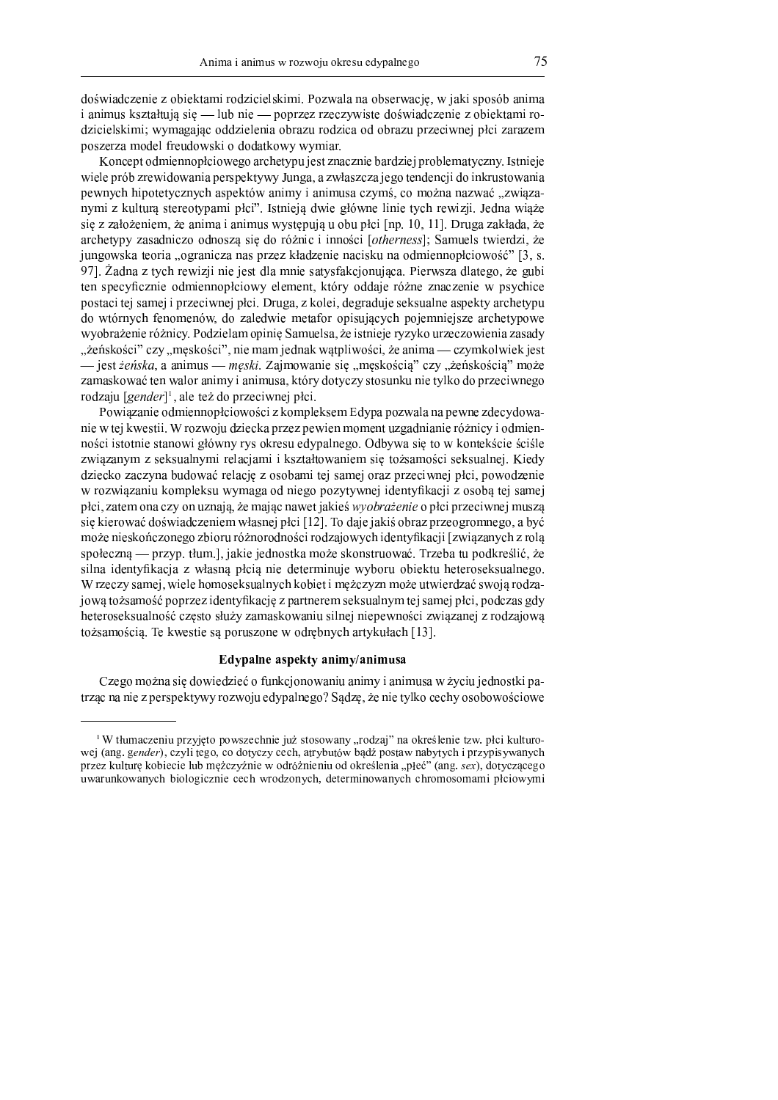75

doświadczenie z obiektami rodzicielskimi. Pozwala na obserwacie, w jaki sposób anima i animus kształtują się — lub nie — poprzez rzeczywiste doświadczenie z obiektami rodzicielskimi; wymagając oddzielenia obrazu rodzica od obrazu przeciwnej płci zarazem poszerza model freudowski o dodatkowy wymiar.

Koncept odmiennopłciowego archetypu jest znacznie bardziej problematyczny. Istnieje wiele prób zrewidowania perspektywy Junga, a zwłaszcza jego tendencji do inkrustowania pewnych hipotetycznych aspektów animy i animusa czymś, co można nazwać "związanymi z kultura stereotypami płci". Istnieja dwie główne linie tych rewizji. Jedna wiaże się z założeniem, że anima i animus występują u obu płci [np. 10, 11]. Druga zakłada, że archetypy zasadniczo odnoszą się do różnic i inności [otherness]; Samuels twierdzi, że jungowska teoria "ogranicza nas przez kładzenie nacisku na odmiennopłciowość" [3, s. 971. Žadna z tych rewizij nie jest dla mnie satysfakcionująca. Pierwszą dlatego, że gubi ten specyficznie odmiennopłciowy element, który oddaje różne znaczenie w psychice postaci tej samej i przeciwnej płci. Druga, z kolei, degraduje seksualne aspekty archetypu do wtórnych fenomenów, do zaledwie metafor opisujących pojemniejsze archetypowe wyobrażenie różnicy. Podzielam opinię Samuelsa, że istnieje ryzyko urzeczowienia zasady "żeńskości" czy "męskości", nie mam jednak wątpliwości, że anima — czymkolwiek jest iest *żeńska*, a animus *— męski*. Zajmowanie się "męskością" czy "żeńskością" może zamaskować ten walor animy i animusa, który dotyczy stosunku nie tylko do przeciwnego rodzaju [gender]<sup>1</sup>, ale też do przeciwnej płci.

Powiązanie odmiennopłciowości z kompleksem Edypa pozwala na pewne zdecydowanie w tej kwestii. W rozwoju dziecka przez pewien moment uzgadnianie różnicy i odmienności istotnie stanowi główny rys okresu edypalnego. Odbywa się to w kontekście ściśle związanym z seksualnymi relacjami i kształtowaniem się tożsamości seksualnej. Kiedy dziecko zaczyna budować relację z osobami tej samej oraz przeciwnej płci, powodzenie w rozwiązaniu kompleksu wymaga od niego pozytywnej identyfikacji z osobą tej samej płci, zatem ona czy on uznają, że mając nawet jakieś *wyobrażenie* o płci przeciwnej muszą się kierować doświadczeniem własnej płci [12]. To daje jakiś obraz przeogromnego, a być może nieskończonego zbioru różnorodności rodzajowych identyfikacji [związanych z rolą społeczna — przyp. tłum.], jakie jednostka może skonstruować. Trzeba tu podkreślić, że silna identyfikacja z własną płcią nie determinuje wyboru obiektu heteroseksualnego. W rzeczy samej, wiele homoseksualnych kobiet i mężczyzn może utwierdzać swoją rodzajową tożsamość poprzez identyfikację z partnerem seksualnym tej samej płci, podczas gdy heteroseksualność często służy zamaskowaniu silnej niepewności związanej z rodzajową tożsamością. Te kwestie są poruszone w odrębnych artykułach [13].

# Edypalne aspekty animy/animusa

Czego można się dowiedzieć o funkcjonowaniu animy i animusa w życiu jednostki patrząc na nie z perspektywy rozwoju edypalnego? Sądzę, że nie tylko cechy osobowościowe

<sup>&</sup>lt;sup>1</sup>W tłumaczeniu przyjęto powszechnie już stosowany "rodzaj" na określenie tzw. płci kulturowej (ang. gender), czyli tego, co dotyczy cech, atrybutów bądź postaw nabytych i przypisywanych przez kulture kobiecie lub meżczyźnie w odróżnieniu od określenia "płeć" (ang. sex), dotyczącego uwarunkowanych biologicznie cech wrodzonych, determinowanych chromosomami płciowymi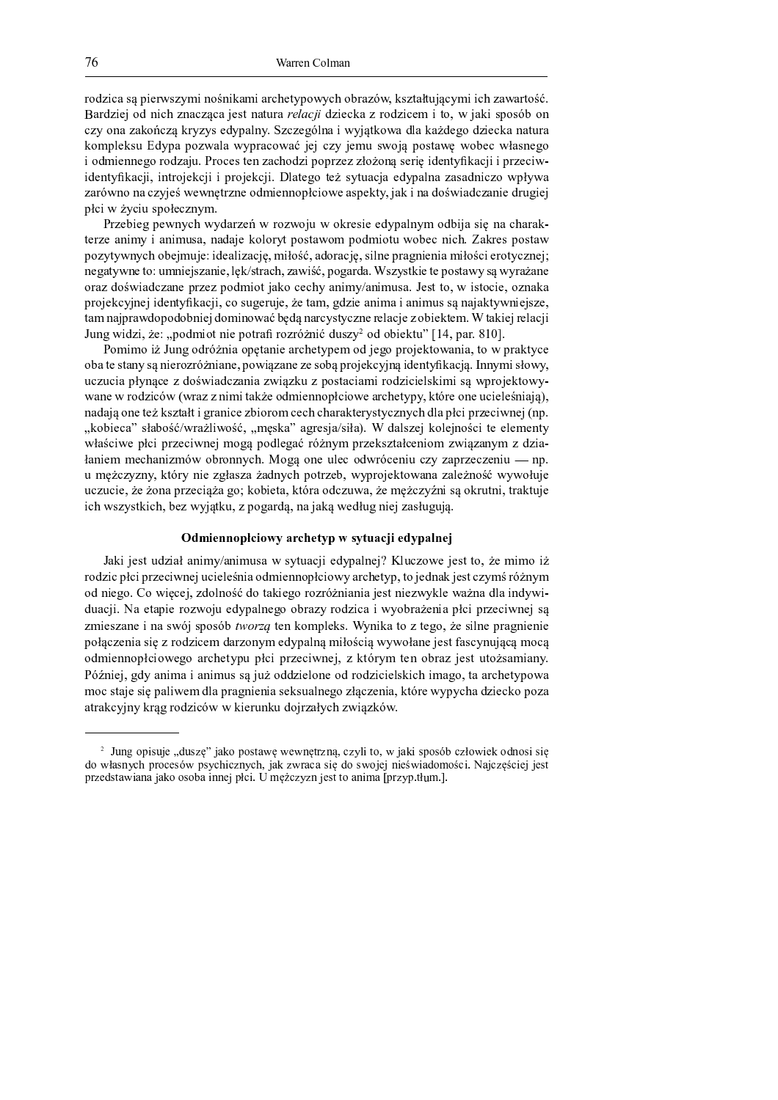rodzica są pierwszymi nośnikami archetypowych obrazów, kształtującymi ich zawartość. Dendrici od niek ruserese iest netuwe uslasii drieske rusedricem i to uz jelni sposók o czy ona zakończą kryzys edypalny. Szczególna i wyjątkowa dla każdego dziecka natura kompleksu Edypa pozwala wypracować jej czy jemu swoją postawę wobec własnego i odmiennego rodzaju. Proces ten zachodzi poprzez złożoną serię identyfikacji i przeciwidentyfikacji, introjekcji i projekcji. Dlatego też sytuacja edypalna zasadniczo wpływa zarówno na czyjeś wewnętrzne odmiennopłciowe aspekty, jak i na doświadczanie drugiej płci w życiu społecznym.

Przebieg pewnych wydarzeń w rozwoju w okresie edypalnym odbija się na charakterze animy i animusa, nadaje koloryt postawom podmiotu wobec nich. Zakres postaw pozytywnych obejmuje: idealizację, miłość, adorację, silne pragnienia miłości erotycznej; negatywne to: umniejszanie, lek/strach, zawiść, pogarda. Wszystkie te postawy są wyrażane oraz doświadczane przez podmiot jako cechy animy/animusa. Jest to, w istocie, oznaka projekcyjnej identyfikacji, co sugeruje, że tam, gdzie anima i animus są najaktywniejsze, tam najprawdopodobniej dominować będą narcystyczne relacje z obiektem. W takiej relacji Jung widzi, że: "podmiot nie potrafi rozróżnić duszy<sup>2</sup> od obiektu" [14, par. 810].

Pomimo iż Jung odróżnia opętanie archetypem od jego projektowania, to w praktyce oba te stany są nierozróżniane, powiązane ze sobą projekcyjną identyfikacją. Innymi słowy, uczucia płynace z doświadczania zwiazku z postaciami rodzicielskimi sa wprojektowywane w rodziców (wraz z nimi także odmiennopłciowe archetypy, które one ucieleśniaja). nadają one też kształt i granice zbiorom cech charakterystycznych dla płci przeciwnej (np. "kobieca" słabość/wrażliwość, "meska" agresja/siła). W dalszej kolejności te elementy właściwe płci przeciwnej mogą podlegać różnym przekształceniom związanym z dzia $tan$ iem mechanizmów obronnych. Mogą one ulec odwróceniu czy zaprzeczeniu — np. u mężczyzny, który nie zgłasza żadnych potrzeb, wyprojektowana zależność wywołuje uczucie, że żona przeciąża go; kobieta, która odczuwa, że mężczyźni są okrutni, traktuje  $i$ ch wszystkich, bez wyjątku, z pogardą, na jaką według niej zasługują.

# Od mienno olciowy archety b w sytuacii edypalnei

Jaki jest udział animy/animusa w sytuacji edypalnej? Kluczowe jest to, że mimo iż rodzic płci przeciwnej ucieleśnia odmiennopłciowy archetyp, to jednak jest czymś różnym od niego. Co więcej, zdolność do takiego rozróżniania jest niezwykle ważna dla indywiduacji. Na etapie rozwoju edypalnego obrazy rodzica i wyobrażenia płci przeciwnej są zmieszane i na swój sposób *tworzą* ten kompleks. Wynika to z tego, że silne pragnienie połączenia się z rodzicem darzonym edypalną miłością wywołane jest fascynującą mocą odmiennopłciowego archetypu płci przeciwnej, z którym ten obraz jest utożsamiany. Później, gdy anima i animus są już oddzielone od rodzicielskich imago, ta archetypowa moc staje się paliwem dla pragnienia seksualnego złączenia, które wypycha dziecko poza atrakcyjny krąg rodziców w kierunku dojrzałych związków.

<sup>î</sup> <sup>ï</sup> <sup>ð</sup> <sup>ñ</sup> <sup>ò</sup> <sup>ó</sup> <sup>ô</sup> <sup>ð</sup> <sup>õ</sup> <sup>ö</sup> <sup>÷</sup> <sup>ð</sup> <sup>ô</sup> <sup>ø</sup> <sup>ù</sup> <sup>ú</sup> <sup>õ</sup> <sup>û</sup> <sup>ò</sup> <sup>ô</sup> <sup>ü</sup> <sup>ý</sup> <sup>ù</sup> <sup>ý</sup> <sup>ý</sup> <sup>ù</sup> <sup>ü</sup> <sup>ø</sup> <sup>þ</sup> <sup>ÿ</sup> <sup>ø</sup> <sup>ó</sup> <sup>ü</sup> <sup>ÿ</sup> <sup>ý</sup> <sup>õ</sup> <sup>û</sup> <sup>ó</sup> <sup>ô</sup> <sup>ò</sup> <sup>ô</sup> - <sup>ø</sup> <sup>ý</sup> <sup>ó</sup> <sup>û</sup> <sup>÷</sup> <sup>ô</sup> <sup>ó</sup> <sup>ô</sup> <sup>ó</sup> <sup>ù</sup> <sup>÷</sup> <sup>ý</sup> <sup>ô</sup> <sup>ò</sup> <sup>ô</sup> - <sup>ý</sup> <sup>ò</sup> <sup>ô</sup> <sup>ó</sup> <sup>ø</sup> <sup>ÿ</sup> <sup>õ</sup> <sup>û</sup> <sup>ø</sup> <sup>ý</sup> <sup>ô</sup> <sup>ó</sup> <sup>ù</sup> <sup>÷</sup> <sup>ô</sup> <sup>ý</sup> <sup>õ</sup> <sup>õ</sup> <sup>ó</sup> <sup>ý</sup> <sup>ó</sup> <sup>÷</sup> <sup>ó</sup> <sup>õ</sup> <sup>ø</sup> <sup>ù</sup> <sup>ó</sup> <sup>õ</sup> <sup>õ</sup> <sup>ô</sup> <sup>ü</sup> <sup>ò</sup> <sup>ø</sup> <sup>÷</sup> <sup>ô</sup> <sup>ü</sup> <sup>ý</sup> <sup>ó</sup> <sup>õ</sup> <sup>û</sup> <sup>ô</sup> <sup>ó</sup> <sup>õ</sup> <sup>ò</sup> <sup>ó</sup> <sup>ù</sup> <sup>ø</sup> <sup>ø</sup> <sup>õ</sup> <sup>ô</sup> <sup>ü</sup> <sup>ü</sup> <sup>ó</sup> <sup>ò</sup> <sup>ø</sup> <sup>ò</sup> <sup>ü</sup> <sup>ð</sup>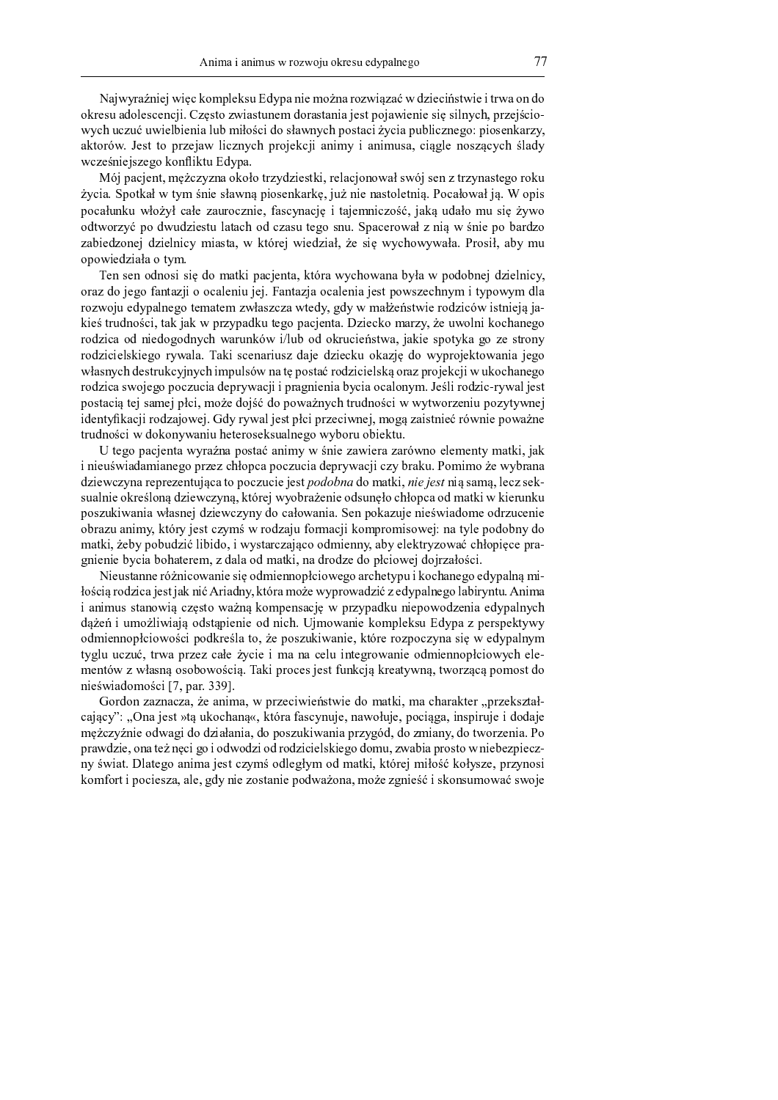Najwyraźniej wiec kompleksu Edypa nie można rozwiazać w dzieciństwie i trwa on do okresu adolescencji. Często zwiastunem dorastania jest pojawienie się silnych, przejściowych uczuć uwielbienia lub miłości do sławnych postaci życia publicznego: piosenkarzy, aktorów. Jest to przejaw licznych projekcji animy i animusa, ciągle noszących ślady wcześniejszego konfliktu Edypa.

Mój pacjent, mężczyzna około trzydziestki, relacjonował swój sen z trzynastego roku życia. Spotkał w tym śnie sławną piosenkarkę, już nie nastoletnią. Pocałował ją. W opis pocałunku włożył całe zaurocznie, fascynację i tajemniczość, jaką udało mu się żywo odtworzyć po dwudziestu latach od czasu tego snu. Spacerował z nia w śnie po bardzo zabiedzonej dzielnicy miasta, w której wiedział, że się wychowywała. Prosił, aby mu opowiedziała o tym.

Ten sen odnosi się do matki pacjenta, która wychowana była w podobnej dzielnicy, oraz do jego fantazji o ocaleniu jej. Fantazja ocalenia jest powszechnym i typowym dla rozwoju edypalnego tematem zwłaszcza wtedy, gdy w małżeństwie rodziców istnieją jakieś trudności, tak jak w przypadku tego pacjenta. Dziecko marzy, że uwolni kochanego rodzica od niedogodnych warunków i/lub od okrucieństwa, jakie spotyka go ze strony rodzicielskiego rywala. Taki scenariusz daje dziecku okazję do wyprojektowania jego własnych destrukcyjnych impulsów na tę postać rodzicielską oraz projekcji w ukochanego rodzica swojego poczucia deprywacji i pragnienia bycia ocalonym. Jeśli rodzic-rywal jest postacią tej samej płci, może dojść do poważnych trudności w wytworzeniu pozytywnej identyfikacji rodzajowej. Gdy rywal jest płci przeciwnej, mogą zaistnieć równie poważne trudności w dokonywaniu heteroseksualnego wyboru obiektu.

U tego pacjenta wyraźna postać animy w śnie zawiera zarówno elementy matki, jak i nieuświadamianego przez chłopca poczucia deprywacji czy braku. Pomimo że wybrana dziewczyna reprezentująca to poczucie jest podobna do matki, nie jest nią samą, lecz seksualnie określoną dziewczyną, której wyobrażenie odsunęło chłopca od matki w kierunku poszukiwania własnej dziewczyny do całowania. Sen pokazuje nieświadome odrzucenie obrazu animy, który jest czymś w rodzaju formacji kompromisowej: na tyle podobny do matki, żeby pobudzić libido, i wystarczająco odmienny, aby elektryzować chłopięce pragnienie bycia bohaterem, z dala od matki, na drodze do płciowej dojrzałości.

Nieustanne różnicowanie się odmiennopłciowego archetypu i kochanego edypalną miłością rodzica jest jak nić Ariadny, która może wyprowadzić z edypalnego labiryntu. Anima i animus stanowią często ważną kompensację w przypadku niepowodzenia edypalnych dażeń i umożliwiają odstapienie od nich. Ujmowanie kompleksu Edypa z perspektywy odmiennopłciowości podkreśla to, że poszukiwanie, które rozpoczyna się w edypalnym tyglu uczuć, trwa przez całe życie i ma na celu integrowanie odmiennopłciowych elementów z własną osobowością. Taki proces jest funkcją kreatywną, tworzącą pomost do nieświadomości [7, par. 339].

Gordon zaznacza, że anima, w przeciwieństwie do matki, ma charakter "przekształcający": "Ona jest »tą ukochaną«, która fascynuje, nawołuje, pociąga, inspiruje i dodaje mężczyźnie odwagi do działania, do poszukiwania przygód, do zmiany, do tworzenia. Po prawdzie, ona też nęci go i odwodzi od rodzicielskiego domu, zwabia prosto w niebezpieczny świat. Dlatego anima jest czymś odległym od matki, której miłość kołysze, przynosi komfort i pociesza, ale, gdy nie zostanie podważona, może zgnieść i skonsumować swoje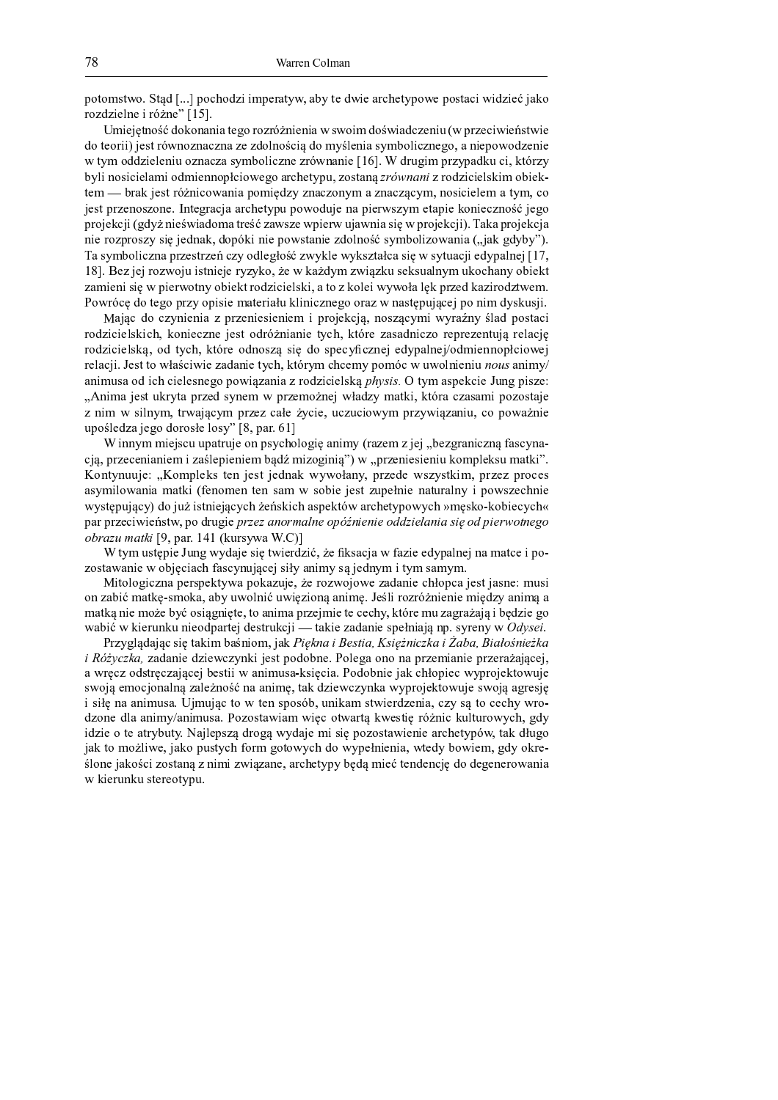potomstwo. Stad [...] pochodzi imperatyw, aby te dwie archetypowe postaci widzieć jako rozdzielne i różne" [15].

Uniciate abb dalvamente taga nazná iniquia uz suzeine dapuis dazeniu (uz nezaciuziaństwi: do teorii) jest równoznaczna ze zdolnością do myślenia symbolicznego, a niepowodzenie w tym oddzieleniu oznacza symboliczne zrównanie [16]. W drugim przypadku ci, którzy byli nosicielami odmiennopłciowego archetypu, zostaną zrównani z rodzicielskim obiektem - brak jest różnicowania pomiędzy znaczonym a znaczącym, nosicielem a tym, co jest przenoszone. Integracja archetypu powoduje na pierwszym etapie konieczność jego projekcji (gdyż nieświadoma treść zawsze wpierw ujawnia się w projekcji). Taka projekcja nie rozproszy się jednak, dopóki nie powstanie zdolność symbolizowania ("jak gdyby"). Ta symboliczna przestrzeń czy odległość zwykle wykształca się w sytuacji edypalnej [17, 18]. Bez jej rozwoju istnieje ryzyko, że w każdym związku seksualnym ukochany obiekt zamieni się w pierwotny obiekt rodzicielski, a to z kolei wywoła lęk przed kazirodztwem. Downósa do tago nu<del>w</del>y anigio matanigly kiliniawaga ana w nagtanyigagi na nime dyglywii:

 $\mathbf{M}_{\text{obs}}$  de exprismie z nazemiecieniem i nacielnie, neczesymi wymeśny ślęd nestec rodzicielskich, konieczne jest odróżnianie tych, które zasadniczo reprezentują relację rodzicielską, od tych, które odnoszą się do specyficznej edypalnej/odmiennopłciowej relacji. Jest to właściwie zadanie tych, którym chcemy pomóc w uwolnieniu nous animy/ animusa od ich cielesnego powiazania z rodzicielska *physis*. O tym aspekcie Jung pisze: Anima jest ukryta przed synem w przemożnej władzy matki, która czasami pozostaje z nim w silnym, trwającym przez całe życie, uczuciowym przywiązaniu, co poważnie upośledza jego dorosłe losy"  $[8, par. 61]$ 

W innym miejscu upatruje on psychologię animy (razem z jej "bezgraniczną fascynacją, przecenianiem i zaślepieniem bądź mizoginią") w "przeniesieniu kompleksu matki". <sup>Á</sup> <sup>w</sup> <sup>x</sup> <sup>¾</sup> <sup>¬</sup> <sup>Á</sup> <sup>w</sup> <sup>y</sup> <sup>v</sup> <sup>z</sup> <sup>x</sup> <sup>z</sup> <sup>x</sup> { { <sup>w</sup> <sup>v</sup> { <sup>z</sup> <sup>z</sup> <sup>x</sup> <sup>y</sup> <sup>v</sup> <sup>v</sup> <sup>w</sup> <sup>z</sup> asymilowania matki (fenomen ten sam w sobie jest zupełnie naturalny i powszechnie występujący) do już istniejących żeńskich aspektów archetypowych »męsko-kobiecych« par przeciwieństw, po drugie *przez anormalne opóźnienie oddzielania się od pierwotnego*  $obrazu \text{ matki}$  [9, par. 141 (kursywa W.C)]

W tym ustępie Jung wydaje się twierdzić, że fiksacja w fazie edypalnej na matce i pozostawanie w objęciach fascynującej siły animy są jednym i tym samym.

<sup>±</sup> <sup>x</sup> <sup>w</sup> <sup>w</sup> <sup>v</sup> <sup>z</sup> <sup>v</sup> <sup>x</sup> { <sup>v</sup> <sup>w</sup> <sup>w</sup> { <sup>w</sup> <sup>w</sup> { <sup>w</sup> <sup>v</sup> <sup>z</sup> <sup>x</sup> <sup>z</sup> <sup>¾</sup> <sup>y</sup> <sup>z</sup> on zabić matkę-smoka, aby uwolnić uwięzioną animę. Jeśli rozróżnienie między animą a matką nie może być osiągnięte, to anima przejmie te cechy, które mu zagrażają i będzie go wabić w kierunku nieodpartej destrukcji — takie zadanie spełniają np. syreny w Odysei.

Dezvoladajaa sia takim kaániam, jak. Diekus i Destis. Vsieżuis-ks i Zeks. Dielośuis-k  $\therefore D_{\alpha}^{\alpha}$  is a contract defective interesting the probability of  $D_{\alpha}$  is a measure interesting of  $\alpha$  w see adetropedaad katii w suimwa kaisain. Dadakuin iskulakina www.saisktowni swoją emocjonalną zależność na animę, tak dziewczynka wyprojektowuje swoją agresję  $\cdot$  also a colonize the unique to see the second  $\cdot$  indicate above and and agree to a select the  $d_{\text{max}}$  die enimisiese op Depertemiene wiee etwerte lwyestie népule lultumurale ed idzie o te atrybuty. Najlepszą drogą wydaje mi się pozostawienie archetypów, tak długo jak to możliwe, jako pustych form gotowych do wypełnienia, wtedy bowiem, gdy określone jakości zostaną z nimi związane, archetypy będą mieć tendencję do degenerowania w kierunku stereotypu.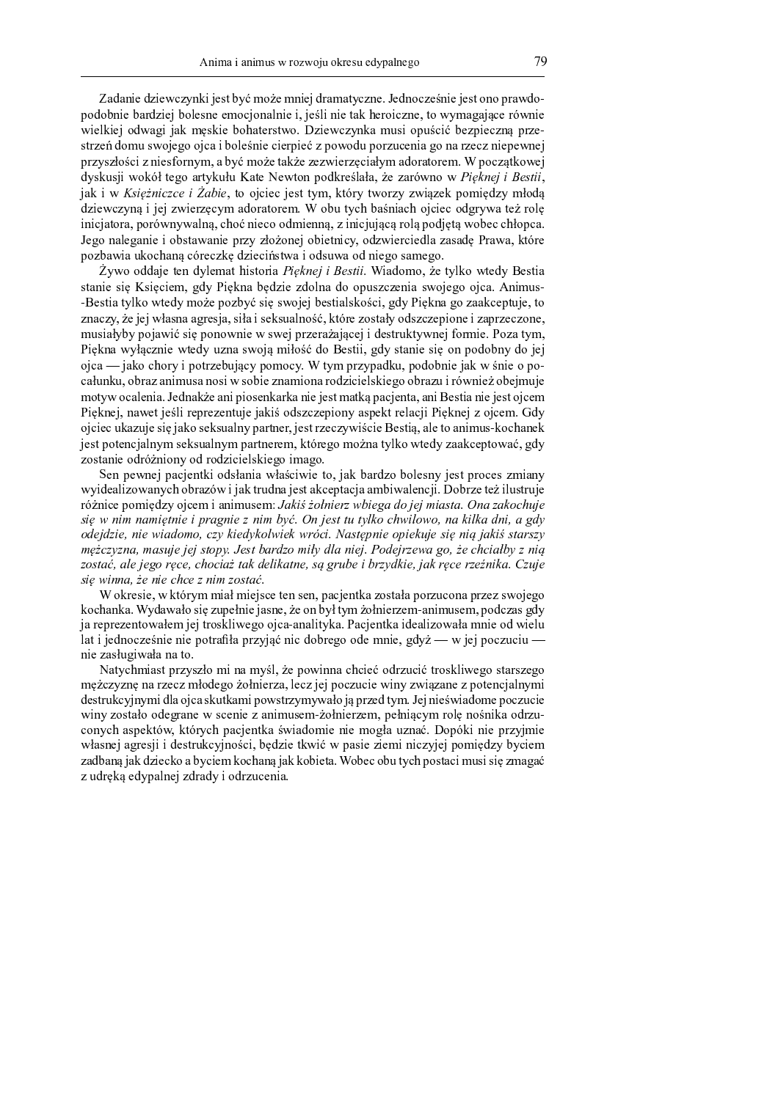Zadanie dziewczynki jest być może mniej dramatyczne. Jednocześnie jest ono prawdopodobnie bardziej bolesne emocjonalnie i, jeśli nie tak heroiczne, to wymagające równie wielkiej odwagi jak męskie bohaterstwo. Dziewczynka musi opuścić bezpieczną przestrzeń domu swojego ojca i boleśnie cierpieć z powodu porzucenia go na rzecz niepewnej przyszłości z niesfornym, a być może także zezwierzeciałym adoratorem. W poczatkowej dyskusji wokół tego artykułu Kate Newton podkreślała, że zarówno w Pięknej i Bestii, jak i w Księżniczce i Żabie, to ojciec jest tym, który tworzy związek pomiędzy młodą dziewczyna i jej zwierzecym adoratorem. W obu tych baśniach ojciec odgrywa też role iniciatora, porównywalną, choć nieco odmienną, z iniciującą rolą podjętą wobec chłopca. Jego naleganie i obstawanie przy złożonej obietnicy, odzwierciedla zasadę Prawa, które pozbawia ukochaną córeczkę dzieciństwa i odsuwa od niego samego.

Żywo oddaje ten dylemat historia Pięknej i Bestii. Wiadomo, że tylko wtedy Bestia stanie się Księciem, gdy Piękna będzie zdolna do opuszczenia swojego ojca. Animus--Bestia tylko wtedy może pozbyć się swojej bestialskości, gdy Piękna go zaakceptuje, to znaczy, że jej własna agresja, siła i seksualność, które zostały odszczepione i zaprzeczone, musiałyby pojawić się ponownie w swej przerażającej i destruktywnej formie. Poza tym, Piękna wyłącznie wtedy uzna swoją miłość do Bestii, gdy stanie się on podobny do jej ojca — jako chory i potrzebujący pomocy. W tym przypadku, podobnie jak w śnie o pocałunku, obraz animusa nosi w sobie znamiona rodzicielskiego obrazu i również obejmuje motyw ocalenia. Jednakże ani piosenkarka nie jest matką pacjenta, ani Bestia nie jest ojcem Pięknej, nawet jeśli reprezentuje jakiś odszczepiony aspekt relacji Pięknej z ojcem. Gdy ojciec ukazuje się jako seksualny partner, jest rzeczywiście Bestią, ale to animus-kochanek jest potencjalnym seksualnym partnerem, którego można tylko wtedy zaakceptować, gdy zostanie odróżniony od rodzicielskiego imago.

Sen pewnej pacjentki odsłania właściwie to, jak bardzo bolesny jest proces zmiany wyidealizowanych obrazów i jak trudna jest akceptacja ambiwalencji. Dobrze też ilustruje różnice pomiędzy ojcem i animusem: Jakiś żołnierz wbiega do jej miasta. Ona zakochuje się w nim namiętnie i pragnie z nim być. On jest tu tylko chwilowo, na kilka dni, a gdy odejdzie, nie wiadomo, czy kiedykolwiek wróci. Następnie opiekuje się nią jakiś starszy mężczyzna, masuje jej stopy. Jest bardzo miły dla niej. Podejrzewa go, że chciałby z nią zostać, ale jego ręce, chociaż tak delikatne, są grube i brzydkie, jak ręce rzeźnika. Czuje sie winna, że nie chce z nim zostać.

W okresie, w którym miał miejsce ten sen, pacjentka została porzucona przez swojego kochanka. Wydawało się zupełnie jasne, że on był tym żołnierzem-animusem, podczas gdy ja reprezentowałem jej troskliwego ojca-analityka. Pacjentka idealizowała mnie od wielu lat i jednocześnie nie potrafiła przyjąć nic dobrego ode mnie, gdyż — w jej poczuciu nie zasługiwała na to.

Natychmiast przyszło mi na myśl, że powinna chcieć odrzucić troskliwego starszego mężczyznę na rzecz młodego żołnierza, lecz jej poczucie winy związane z potencjalnymi destrukcyjnymi dla ojca skutkami powstrzymywało ją przed tym. Jej nieświadome poczucie winy zostało odegrane w scenie z animusem-żołnierzem, pełniącym rolę nośnika odrzuconych aspektów, których pacjentka świadomie nie mogła uznać. Dopóki nie przyjmie własnej agresji i destrukcyjności, będzie tkwić w pasie ziemi niczyjej pomiędzy byciem zadbaną jak dziecko a byciem kochaną jak kobieta. Wobec obu tych postaci musi się zmagać z udręką edypalnej zdrady i odrzucenia.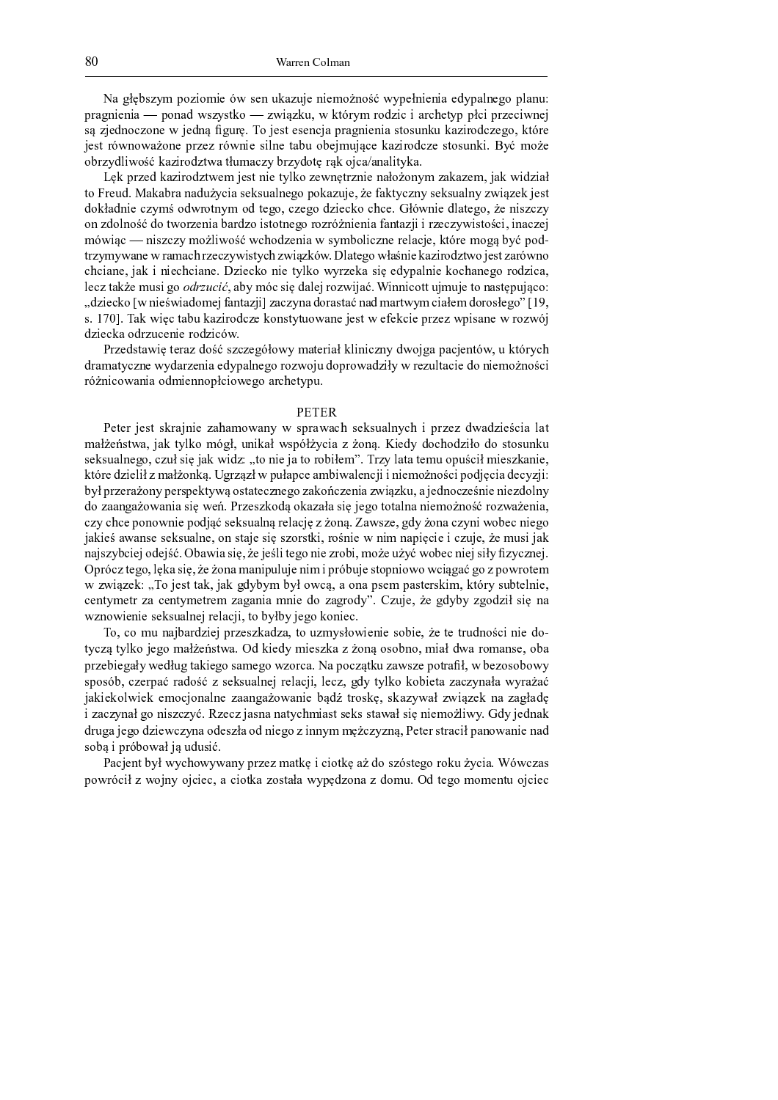$\mathbf{v}$  and the contract g indicate the contract f and contract the contract of the contract of the contract of the contract of the contract of the contract of the contract of the contract of the contract of the contract ` <sup>p</sup> <sup>W</sup> <sup>X</sup> <sup>f</sup> <sup>b</sup> <sup>c</sup> <sup>f</sup> <sup>b</sup> <sup>W</sup> <sup>q</sup> ` <sup>a</sup> <sup>f</sup> <sup>W</sup> <sup>m</sup> <sup>e</sup> \ ] ^ \ <sup>r</sup> <sup>h</sup> <sup>a</sup> <sup>q</sup> ] <sup>e</sup> <sup>b</sup> <sup>s</sup> ] <sup>h</sup> <sup>g</sup> <sup>t</sup> <sup>e</sup> <sup>h</sup> <sup>r</sup> <sup>d</sup> <sup>p</sup> ^ \_ <sup>p</sup> <sup>a</sup> <sup>m</sup> ] <sup>b</sup> <sup>u</sup> <sup>b</sup> <sup>W</sup> <sup>p</sup> <sup>u</sup> <sup>v</sup> <sup>c</sup> <sup>r</sup> ^ ` ` <sup>Y</sup> <sup>u</sup> <sup>b</sup> ` <sup>p</sup> ] <sup>c</sup> <sup>u</sup> <sup>b</sup> <sup>e</sup> <sup>f</sup> <sup>c</sup> <sup>i</sup>  $\, \, \cdot \, \, \cdot \, \, \cdot \, \, \cdot \, \, \cdot \, \, \cdot \, \, \cdot \, \, \cdot \, \, \cdot \, \, \cdot \, \, \cdot \, \, \cdot \, \, \cdot \, \, \cdot \, \, \cdot \, \, \cdot \, \, \cdot \, \, \cdot \, \, \cdot \, \, \cdot \, \, \cdot \, \, \cdot \, \, \cdot \, \, \cdot \, \, \cdot \, \, \cdot \, \, \cdot \, \, \cdot \, \, \cdot \, \, \cdot \, \, \cdot \, \, \cdot \, \, \cdot \, \, \cdot \, \, \cdot \, \, \cdot \, \,$ i c p a e f a e f b n f c r a m f c r a m i s u c i s u c h w  $\alpha$  f h b  $\alpha$  f h b  $\alpha$ a [ <sup>p</sup> ] ^ <sup>m</sup> <sup>n</sup> <sup>b</sup> <sup>e</sup> <sup>a</sup> <sup>k</sup> <sup>l</sup> <sup>h</sup> <sup>W</sup> ] <sup>b</sup> <sup>p</sup> <sup>a</sup> <sup>m</sup> ] <sup>r</sup> <sup>e</sup> <sup>W</sup> <sup>r</sup> <sup>Y</sup> <sup>g</sup> \_ <sup>W</sup> <sup>u</sup> ] ^ [ <sup>p</sup> ] ^ <sup>m</sup> <sup>a</sup> <sup>r</sup> <sup>Z</sup> <sup>p</sup> <sup>s</sup> <sup>h</sup> <sup>a</sup> <sup>i</sup> <sup>u</sup> <sup>W</sup> { <sup>W</sup> <sup>f</sup> <sup>W</sup> <sup>n</sup> <sup>b</sup> <sup>r</sup> ^ <sup>h</sup> <sup>W</sup> <sup>x</sup>

| <sup>Z</sup> <sup>h</sup> ` <sup>p</sup> ] <sup>c</sup> <sup>m</sup> <sup>h</sup> <sup>W</sup> ] <sup>b</sup> <sup>p</sup> <sup>a</sup> <sup>m</sup> ] <sup>r</sup> <sup>e</sup> <sup>c</sup> \_ <sup>i</sup> <sup>c</sup> \ <sup>r</sup> <sup>f</sup> <sup>b</sup> <sup>c</sup> <sup>r</sup> ^ <sup>n</sup> <sup>h</sup> <sup>a</sup> ] <sup>c</sup> <sup>e</sup> <sup>f</sup> <sup>Z</sup> <sup>r</sup> <sup>p</sup> ] <sup>f</sup> <sup>b</sup> <sup>c</sup> <sup>f</sup> <sup>W</sup> <sup>Y</sup> <sup>a</sup> <sup>j</sup> <sup>a</sup> <sup>f</sup> ^ \_ ] <sup>W</sup> <sup>h</sup> <sup>W</sup> ] <sup>c</sup> \_ <sup>t</sup> <sup>i</sup> <sup>W</sup> <sup>h</sup> <sup>e</sup> <sup>b</sup> <sup>m</sup> ] <sup>b</sup> <sup>W</sup> <sup>Y</sup>  $r$  and the contract with the wind contract  $r$  in the contract in function  $r$  in function  $r$  in function  $r$  in function  $r$  in function  $r$  in function  $r$  in function  $r$  in function  $r$  in function  $r$  in function m a r f a r f a r f a r f a r f a t u c m a t u c c u d e f b c i d e f b c m n W r c m n W r c f b c f b c f a <sup>f</sup> ] <sup>m</sup> <sup>a</sup> <sup>n</sup> <sup>f</sup> <sup>a</sup> <sup>k</sup> <sup>l</sup> <sup>m</sup> <sup>a</sup> <sup>r</sup> <sup>e</sup> <sup>a</sup> <sup>p</sup> ] <sup>c</sup> <sup>f</sup> <sup>b</sup> <sup>W</sup> [ <sup>W</sup> <sup>p</sup> <sup>m</sup> ] <sup>a</sup> <sup>b</sup> \ <sup>r</sup> <sup>a</sup> <sup>r</sup> <sup>f</sup> <sup>c</sup> <sup>X</sup> <sup>a</sup> <sup>p</sup> <sup>a</sup> ] <sup>p</sup> <sup>d</sup> <sup>j</sup> <sup>f</sup> <sup>b</sup> <sup>c</sup> <sup>f</sup> <sup>b</sup> <sup>W</sup> <sup>W</sup> <sup>f</sup> <sup>r</sup> <sup>W</sup> ] <sup>i</sup> <sup>b</sup> <sup>b</sup> <sup>p</sup> ] <sup>c</sup> <sup>u</sup> ] ^ <sup>e</sup> <sup>b</sup> \ <sup>r</sup> <sup>a</sup> <sup>k</sup> <sup>u</sup> <sup>b</sup> <sup>t</sup> <sup>b</sup> <sup>f</sup> <sup>W</sup> <sup>u</sup> ] <sup>c</sup> <sup>i</sup> \_ d e a j n b e a k l e a m a m a m a m a n b e a n b u i c n b u i c n b c n b c n b c n b c n b c n a m a m  $\mathbf{r} = \mathbf{r} - \mathbf{r}$  e b and the set of the set of the set of the f b c h  $\mathbf{r}$ u b a f c c c c c r a f b c r a f b c r a e p a e p a e p a m a m a m a m a m a m a u v f c h a m d c h a m d n <sup>c</sup> <sup>u</sup> ] <sup>r</sup> <sup>W</sup> <sup>h</sup> <sup>j</sup> <sup>c</sup> \_ <sup>g</sup> \ <sup>b</sup> <sup>X</sup> <sup>a</sup> <sup>t</sup> <sup>W</sup> [ ^ \_ <sup>d</sup> <sup>u</sup> \ <sup>b</sup> <sup>Z</sup> <sup>m</sup> <sup>W</sup> <sup>n</sup> <sup>c</sup> <sup>i</sup> <sup>p</sup> <sup>a</sup> ] <sup>e</sup> <sup>b</sup> i <sup>W</sup> <sup>l</sup> <sup>x</sup> <sup>b</sup> <sup>f</sup> <sup>f</sup> <sup>b</sup> <sup>u</sup> <sup>a</sup> <sup>r</sup> <sup>r</sup> <sup>g</sup> <sup>i</sup> \_ <sup>g</sup> <sup>i</sup> <sup>c</sup> <sup>r</sup> <sup>a</sup> <sup>f</sup> <sup>W</sup> \ <sup>r</sup> <sup>Z</sup> ` <sup>g</sup> <sup>i</sup> <sup>s</sup> <sup>u</sup> <sup>a</sup> <sup>o</sup> . dziecko [w nieświadomej fantazii] zaczyna dorastać nad martwym ciałem dorosłego" [19  $\,$  $\alpha$  a m a m u d a f a f a f a f c i c a c h u b c i c i c i c i c i c i c i p a f c i c e p a e p a e p a e p a e p a e p a e p a e p a e p a e p a e p a e p a e p a e p a e p a e p a e p a e p a e p a e p a e p a e p a m ] <sup>b</sup> <sup>c</sup> <sup>u</sup> <sup>h</sup> <sup>W</sup> <sup>a</sup> <sup>m</sup> <sup>p</sup> ] <sup>g</sup> <sup>u</sup> <sup>c</sup> <sup>f</sup> <sup>b</sup> <sup>c</sup> <sup>p</sup> <sup>a</sup> <sup>m</sup> ] <sup>b</sup> <sup>u</sup> <sup>d</sup> <sup>e</sup> <sup>x</sup>

p a k li u d w a k w a e a g h n b f b i w i c p b i d b i w i c f r d p o u i v i c f r d e t r d e t r d p o m p w w c m a c m a c m a i g n f c m a i g n a e w m a e w m a e p c n r w c m a f a f b c m a f b c m a f a produce the set of the W and the W and the W  $\alpha$  and  $\alpha$  and  $\alpha$  and  $\alpha$  and  $\alpha$  and  $\alpha$  and  $\alpha$  and  $\alpha$  and  $\alpha$  and  $\alpha$  and  $\alpha$  and  $\alpha$  and  $\alpha$  and  $\alpha$  and  $\alpha$  and  $\alpha$  and  $\alpha$  and  $\alpha$  and  $\alpha$  and  $\alpha$ 

#### $\overline{\phantom{a}}$

 <sup>c</sup> <sup>r</sup> <sup>c</sup> <sup>p</sup> <sup>i</sup> <sup>c</sup> \ <sup>r</sup> \ <sup>h</sup> <sup>p</sup> <sup>W</sup> <sup>i</sup> <sup>f</sup> <sup>b</sup> <sup>c</sup> ] <sup>W</sup> <sup>v</sup> <sup>W</sup> \_ <sup>a</sup> <sup>e</sup> <sup>W</sup> <sup>f</sup> ^ <sup>e</sup> \ ` <sup>p</sup> <sup>W</sup> <sup>e</sup> <sup>W</sup> <sup>u</sup> <sup>v</sup> \ <sup>c</sup> <sup>h</sup> \ <sup>g</sup> <sup>W</sup> <sup>n</sup> <sup>f</sup> ^ <sup>u</sup> <sup>v</sup> <sup>b</sup> ` <sup>p</sup> ] <sup>c</sup> ] <sup>m</sup> <sup>e</sup> <sup>W</sup> <sup>m</sup> ] <sup>b</sup> <sup>c</sup> <sup>k</sup> <sup>u</sup> <sup>b</sup> <sup>W</sup> <sup>n</sup> <sup>W</sup> <sup>r</sup> \_ <sup>W</sup> <sup>Y</sup> <sup>j</sup> <sup>c</sup> \ <sup>r</sup> <sup>e</sup> <sup>W</sup> <sup>t</sup> <sup>i</sup> <sup>W</sup> <sup>h</sup> <sup>r</sup> ^ <sup>n</sup> <sup>h</sup> <sup>a</sup> \_ <sup>d</sup> <sup>X</sup> <sup>Y</sup> <sup>t</sup> <sup>g</sup> <sup>f</sup> <sup>b</sup> <sup>h</sup> <sup>W</sup> <sup>Y</sup> <sup>e</sup> \ ` <sup>d</sup> <sup>Y</sup> <sup>j</sup> ^ <sup>u</sup> <sup>b</sup> <sup>W</sup> ] <sup>j</sup> <sup>a</sup> <sup>f</sup> <sup>s</sup> <sup>x</sup> <sup>b</sup> <sup>c</sup> <sup>m</sup> ^ <sup>m</sup> <sup>a</sup> <sup>u</sup> <sup>v</sup> <sup>a</sup> <sup>m</sup> ] <sup>b</sup> <sup>Y</sup> <sup>a</sup> <sup>m</sup> <sup>a</sup> \ <sup>r</sup> <sup>a</sup> \ <sup>g</sup> <sup>f</sup> <sup>h</sup> <sup>g</sup> seksualnego, czuł sie jak widz: "to nie ja to robiłem". Trzy lata temu opuścił mieszkanie h r d p a f h s a g y w c g w c w c w c w c f u i b f b f b f b f b f a g y f a m i b f a m i b o d w m c u b  $\blacksquare$ m a s a m a m a m a m s a h a m a h a m a h a g i c f a r a r a r a r a f a j f a j f a j f a k l p a j f a j  $\mathbf{u} = \mathbf{u} - \mathbf{u} - \mathbf{u} - \mathbf{u} - \mathbf{u} - \mathbf{u} - \mathbf{u} - \mathbf{u} - \mathbf{u} - \mathbf{u} - \mathbf{u} - \mathbf{u} - \mathbf{u} - \mathbf{u} - \mathbf{u} - \mathbf{u} - \mathbf{u} - \mathbf{u} - \mathbf{u} - \mathbf{u} - \mathbf{u} - \mathbf{u} - \mathbf{u} - \mathbf{u} - \mathbf{u} - \mathbf{u} - \mathbf{u} - \mathbf{u} - \mathbf{u} - \mathbf{u} - \mathbf$ i <sup>W</sup> <sup>h</sup> <sup>b</sup> <sup>c</sup> <sup>k</sup> <sup>W</sup> <sup>e</sup> <sup>W</sup> <sup>f</sup> \ <sup>c</sup> \ <sup>c</sup> <sup>h</sup> \ <sup>g</sup> <sup>W</sup> <sup>n</sup> <sup>f</sup> <sup>c</sup> <sup>t</sup> <sup>a</sup> <sup>f</sup> \ <sup>r</sup> <sup>W</sup> <sup>i</sup> <sup>c</sup> \ <sup>b</sup> <sup>Z</sup> \ ] <sup>a</sup> <sup>p</sup> \ <sup>r</sup> <sup>h</sup> <sup>b</sup> <sup>t</sup> <sup>p</sup> <sup>a</sup> <sup>k</sup> <sup>f</sup> <sup>b</sup> <sup>c</sup> <sup>e</sup> <sup>f</sup> <sup>b</sup> \_ <sup>f</sup> <sup>W</sup> ` <sup>b</sup> <sup>Z</sup> <sup>u</sup> <sup>b</sup> <sup>c</sup> <sup>b</sup> <sup>u</sup> ] <sup>g</sup> <sup>i</sup> <sup>c</sup> <sup>t</sup> <sup>j</sup> <sup>c</sup> \_ <sup>g</sup> \ <sup>b</sup> <sup>i</sup> <sup>W</sup> <sup>h</sup>  $f \colon A \to B$  i c i c i c i c i c i c i c i d a f b t i d a f e a f b t i d a f b c i  $\mu$  f b c i  $\mu$  a f c i  $\mu$  f c i  $\mu$  f c i  $\mu$  f c i  $\mu$  f c i  $\mu$  f c i  $\mu$  f c i  $\mu$  f c i  $\mu$  f c i  $\mu$  f c i  $\mu$  f c i  $\mu$  $\alpha$  , and the contract in the field in the contract in the contract of the part of the part of the part of the part of the part of the part of the part of the part of the part of the part of the part of the part of the p w zwiazek: ..To iest tak, iak gdybym był owca, a ona psem pasterskim, który subtelnie  $u \, = \, w \, = \, w \, = \, w \, = \, w \, = \, w \, = \, w \, = \, w \, = \, w \, = \, w \, = \, w \, = \, w \, = \, w \, = \, w \, = \, w \, = \, w \, = \, w \, = \, w \, = \, w \, = \, w \, = \, w \, = \, w \, = \, w \, = \, w \, = \, w \, = \, w \, = \, w \, = \, w \, = \, w \, = \, w \, = \, w \, = \, w \, = \, w \, = \, w \, = \, w \, = \, w \, = \, w \, =$ e e b c h c h c i p c n f c i p c n f c i p c n i p c n i c i c x i c x i c x i c x i c u x a h a f b c u x a h

y <sup>a</sup> <sup>t</sup> <sup>u</sup> <sup>a</sup> \_ <sup>g</sup> <sup>f</sup> <sup>W</sup> <sup>i</sup> [ <sup>W</sup> <sup>p</sup> <sup>m</sup> ] <sup>b</sup> <sup>c</sup> <sup>i</sup> ` <sup>p</sup> ] <sup>c</sup> \ ] <sup>h</sup> <sup>W</sup> <sup>m</sup> ] <sup>W</sup> <sup>t</sup> <sup>r</sup> <sup>a</sup> <sup>g</sup> ] \_ ^ \ <sup>Y</sup> <sup>a</sup> <sup>e</sup> <sup>b</sup> <sup>c</sup> <sup>f</sup> <sup>b</sup> <sup>c</sup> \ <sup>a</sup> [ <sup>b</sup> <sup>c</sup> <sup>t</sup> <sup>j</sup> <sup>c</sup> <sup>r</sup> <sup>c</sup> <sup>r</sup> <sup>p</sup> <sup>g</sup> <sup>m</sup> <sup>f</sup> <sup>a</sup> <sup>k</sup> <sup>u</sup> <sup>b</sup> <sup>f</sup> <sup>b</sup> <sup>c</sup> <sup>m</sup> <sup>a</sup> r ^ <sup>u</sup> ] <sup>s</sup> <sup>r</sup> ^ <sup>n</sup> <sup>h</sup> <sup>a</sup> <sup>i</sup> <sup>c</sup> <sup>X</sup> <sup>a</sup> \_ <sup>W</sup> <sup>Y</sup> <sup>j</sup> <sup>c</sup> \ <sup>r</sup> <sup>e</sup> <sup>W</sup> <sup>x</sup> <sup>m</sup> <sup>h</sup> <sup>b</sup> <sup>c</sup> <sup>m</sup> ^ \_ <sup>b</sup> <sup>c</sup> \ ] <sup>h</sup> <sup>W</sup> ] <sup>j</sup> <sup>a</sup> <sup>f</sup> <sup>s</sup> <sup>a</sup> \ <sup>a</sup> [ <sup>f</sup> <sup>a</sup> <sup>t</sup> \_ <sup>b</sup> <sup>W</sup> <sup>Y</sup> <sup>m</sup> <sup>e</sup> <sup>W</sup> <sup>p</sup> <sup>a</sup> \_ <sup>W</sup> <sup>f</sup> \ <sup>c</sup> <sup>t</sup> <sup>a</sup> [ <sup>W</sup> ` <sup>p</sup> ] <sup>c</sup> [ <sup>b</sup> <sup>c</sup> <sup>X</sup> <sup>W</sup> <sup>Y</sup> ^ <sup>e</sup> <sup>c</sup> <sup>m</sup> <sup>Y</sup> <sup>g</sup> <sup>X</sup> <sup>r</sup> <sup>W</sup> <sup>h</sup> <sup>b</sup> <sup>c</sup> <sup>X</sup> <sup>a</sup> \ <sup>W</sup> \_ <sup>c</sup> <sup>X</sup> <sup>a</sup> <sup>e</sup> ] <sup>a</sup> <sup>p</sup> <sup>u</sup> <sup>W</sup> <sup>x</sup> <sup>V</sup> <sup>W</sup> ` <sup>a</sup> <sup>u</sup> ] <sup>s</sup> <sup>r</sup> <sup>h</sup> <sup>g</sup> ] <sup>W</sup> <sup>e</sup> \ ] <sup>c</sup> ` <sup>a</sup> <sup>r</sup> <sup>p</sup> <sup>W</sup> <sup>w</sup> <sup>Y</sup> <sup>t</sup> <sup>e</sup> [ <sup>c</sup> ] <sup>a</sup> \ <sup>a</sup> [ <sup>a</sup> <sup>e</sup> ^ \ ` <sup>a</sup> \ <sup>d</sup> [ <sup>t</sup> <sup>u</sup> ] <sup>c</sup> <sup>p</sup> ` <sup>W</sup> <sup>l</sup> <sup>p</sup> <sup>W</sup> <sup>m</sup> <sup>a</sup> <sup>k</sup> <sup>l</sup> ] \ <sup>c</sup> <sup>h</sup> \ <sup>g</sup> <sup>W</sup> <sup>n</sup> <sup>f</sup> <sup>c</sup> <sup>i</sup> <sup>p</sup> <sup>c</sup> <sup>n</sup> <sup>W</sup> <sup>u</sup> <sup>i</sup> <sup>b</sup> <sup>t</sup> <sup>n</sup> <sup>c</sup> <sup>u</sup> ] <sup>t</sup> <sup>X</sup> <sup>m</sup> ^ <sup>r</sup> ^ <sup>n</sup> <sup>h</sup> <sup>a</sup> <sup>h</sup> <sup>a</sup> [ <sup>b</sup> <sup>c</sup> <sup>r</sup> <sup>W</sup> ] <sup>W</sup> <sup>u</sup> ] ^ <sup>f</sup> <sup>W</sup> <sup>Y</sup> <sup>W</sup> <sup>e</sup> ^ <sup>p</sup> <sup>W</sup> <sup>j</sup> <sup>W</sup> <sup>l</sup> i <sup>W</sup> <sup>h</sup> <sup>b</sup> <sup>c</sup> <sup>h</sup> <sup>a</sup> <sup>n</sup> <sup>e</sup> <sup>b</sup> <sup>c</sup> <sup>h</sup> <sup>c</sup> \_ <sup>a</sup> <sup>u</sup> <sup>i</sup> <sup>a</sup> <sup>f</sup> <sup>W</sup> <sup>n</sup> <sup>f</sup> <sup>c</sup> ] <sup>W</sup> <sup>W</sup> <sup>f</sup> <sup>X</sup> <sup>W</sup> <sup>j</sup> <sup>a</sup> <sup>e</sup> <sup>W</sup> <sup>f</sup> <sup>b</sup> <sup>c</sup> [ <sup>s</sup> <sup>m</sup> <sup>r</sup> <sup>p</sup> <sup>a</sup> \ <sup>h</sup> <sup>Z</sup> <sup>t</sup> \ <sup>h</sup> <sup>W</sup> ] ^ <sup>e</sup> <sup>W</sup> <sup>Y</sup> ] <sup>e</sup> <sup>b</sup> <sup>s</sup> ] <sup>c</sup> <sup>h</sup> <sup>f</sup> <sup>W</sup> ] <sup>W</sup> <sup>X</sup> <sup>Y</sup> <sup>W</sup> <sup>m</sup> <sup>Z</sup> b ] <sup>W</sup> <sup>u</sup> ] ^ <sup>f</sup> <sup>W</sup> <sup>Y</sup> <sup>X</sup> <sup>a</sup> <sup>f</sup> <sup>b</sup> \ ] <sup>u</sup> ] ^ <sup>l</sup> <sup>x</sup> ] <sup>c</sup> <sup>u</sup> ] <sup>i</sup> <sup>W</sup> \ <sup>f</sup> <sup>W</sup> <sup>f</sup> <sup>W</sup> <sup>r</sup> ^ <sup>u</sup> <sup>v</sup> \_ <sup>b</sup> <sup>W</sup> \ <sup>r</sup> \ <sup>c</sup> <sup>h</sup> \ \ <sup>r</sup> <sup>W</sup> <sup>e</sup> <sup>W</sup> <sup>Y</sup> \ <sup>b</sup> <sup>Z</sup> <sup>f</sup> <sup>b</sup> <sup>c</sup> \_ <sup>a</sup> <sup>j</sup> <sup>n</sup> <sup>b</sup> <sup>e</sup> ^ <sup>x</sup> <sup>m</sup> ^ <sup>i</sup> <sup>c</sup> <sup>m</sup> <sup>f</sup> <sup>W</sup> <sup>h</sup> m <sup>p</sup> <sup>g</sup> <sup>X</sup> <sup>W</sup> <sup>i</sup> <sup>c</sup> <sup>X</sup> <sup>a</sup> <sup>m</sup> ] <sup>b</sup> <sup>c</sup> <sup>e</sup> <sup>u</sup> ] ^ <sup>f</sup> <sup>W</sup> <sup>a</sup> <sup>m</sup> <sup>c</sup> \ ] <sup>Y</sup> <sup>W</sup> <sup>a</sup> <sup>m</sup> <sup>f</sup> <sup>b</sup> <sup>c</sup> <sup>X</sup> <sup>a</sup> ] <sup>b</sup> <sup>f</sup> <sup>f</sup> ^ \_ \_ <sup>Z</sup> <sup>j</sup> <sup>u</sup> ] ^ ] <sup>f</sup> <sup>s</sup> <sup>t</sup> <sup>c</sup> <sup>r</sup> <sup>c</sup> <sup>p</sup> \ <sup>r</sup> <sup>p</sup> <sup>W</sup> <sup>u</sup> <sup>b</sup> <sup>Y</sup> ` <sup>W</sup> <sup>f</sup> <sup>a</sup> <sup>e</sup> <sup>W</sup> <sup>f</sup> <sup>b</sup> <sup>c</sup> <sup>f</sup> <sup>W</sup> <sup>m</sup>  $\cdots$  and  $\cdots$  in the matrix  $\cdots$ 

 <sup>W</sup> <sup>u</sup> <sup>i</sup> <sup>c</sup> <sup>f</sup> <sup>r</sup> [ ^ <sup>Y</sup> <sup>e</sup> ^ <sup>u</sup> <sup>v</sup> <sup>a</sup> <sup>e</sup> ^ <sup>e</sup> <sup>W</sup> <sup>f</sup> ^ ` <sup>p</sup> ] <sup>c</sup> ] \_ <sup>W</sup> <sup>r</sup> <sup>h</sup> <sup>Z</sup> <sup>b</sup> <sup>u</sup> <sup>b</sup> <sup>a</sup> <sup>r</sup> <sup>h</sup> <sup>Z</sup> <sup>W</sup> <sup>j</sup> <sup>m</sup> <sup>a</sup> \ ] <sup>d</sup> \ <sup>r</sup> <sup>c</sup> <sup>X</sup> <sup>a</sup> <sup>p</sup> <sup>a</sup> <sup>h</sup> <sup>g</sup> <sup>j</sup> ^ <sup>u</sup> <sup>b</sup> <sup>W</sup> <sup>x</sup> <sup>d</sup> <sup>e</sup> <sup>u</sup> ] <sup>W</sup> \ ` <sup>a</sup> <sup>e</sup> <sup>p</sup> <sup>d</sup> <sup>u</sup> <sup>b</sup> <sup>Y</sup> ] <sup>e</sup> <sup>a</sup> <sup>i</sup> <sup>f</sup> ^ <sup>a</sup> <sup>i</sup> <sup>u</sup> <sup>b</sup> <sup>c</sup> <sup>u</sup> <sup>t</sup> <sup>W</sup> <sup>u</sup> <sup>b</sup> <sup>a</sup> <sup>r</sup> <sup>h</sup> <sup>W</sup> ] <sup>a</sup> \ <sup>r</sup> <sup>W</sup> <sup>Y</sup> <sup>W</sup> <sup>e</sup> ^ ` <sup>Z</sup> <sup>m</sup> ] <sup>a</sup> <sup>f</sup> <sup>W</sup> ] <sup>m</sup> <sup>a</sup> \_ <sup>g</sup> <sup>x</sup> <sup>m</sup> <sup>r</sup> <sup>c</sup> <sup>X</sup> <sup>a</sup> \_ <sup>a</sup> \_ <sup>c</sup> <sup>f</sup> <sup>r</sup> <sup>g</sup> <sup>a</sup> <sup>i</sup> <sup>u</sup> <sup>b</sup> <sup>c</sup> <sup>u</sup>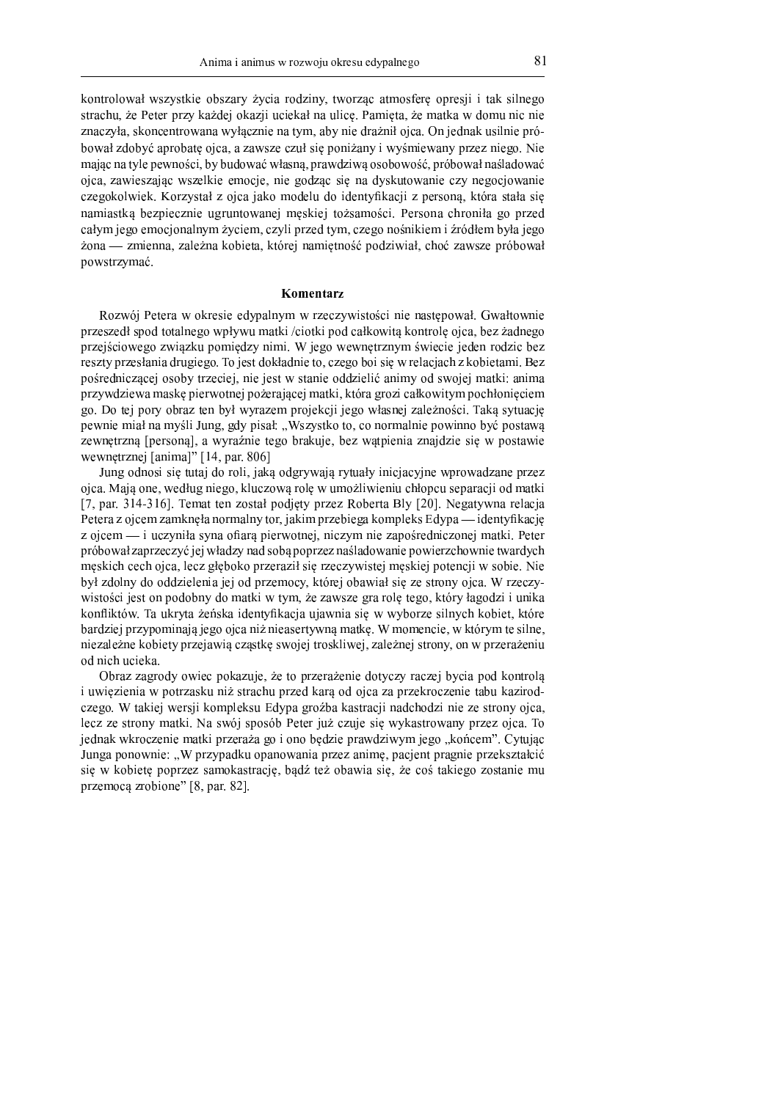kontrolował wszystkie obszary życia rodziny, tworząc atmosfere opresii i tak silnego strachu, że Peter przy każdej okazji uciekał na ulicę. Pamięta, że matka w domu nic nie znaczyła, skoncentrowana wyłacznie na tym, aby nie drażnił ojca. On jednak usilnie próbował zdobyć aprobatę ojca, a zawsze czuł się poniżany i wyśmiewany przez niego. Nie mając na tyle pewności, by budować własną, prawdziwą osobowość, próbował naśladować ojca, zawieszając wszelkie emocje, nie godząc się na dyskutowanie czy negocjowanie czegokolwiek. Korzystał z ojca jako modelu do identyfikacji z personą, która stała się namiastka bezpiecznie ugruntowanej meskiej tożsamości. Persona chroniła go przed całym jego emocjonalnym życiem, czyli przed tym, czego nośnikiem i źródłem była jego żona — zmienna, zależna kobieta, której namiętność podziwiał, choć zawsze próbował powstrzymać.

# Komentarz

Rozwój Petera w okresie edypalnym w rzeczywistości nie nastepował. Gwałtownie przeszedł spod totalnego wpływu matki /ciotki pod całkowitą kontrolę ojca, bez żadnego przejściowego związku pomiędzy nimi. W jego wewnętrznym świecie jeden rodzic bez reszty przesłania drugiego. To jest dokładnie to, czego boj się w relacjach z kobietami. Bez pośredniczącej osoby trzeciej, nie jest w stanie oddzielić animy od swojej matki: anima przywdziewa maske pierwotnej pożerającej matki, która grozi całkowitym pochłonieciem go. Do tej pory obraz ten był wyrazem projekcji jego własnej zależności. Taka sytuacje pewnie miał na myśli Jung, gdy pisał: "Wszystko to, co normalnie powinno być postawą zewnetrzna [persona], a wyraźnie tego brakuje, bez watpienia znajdzie się w postawie wewnetrznej [anima]" [14, par. 806]

Jung odnosi się tutaj do roli, jaką odgrywają rytuały inicjacyjne wprowadzane przez ojca. Maja one, według niego, kluczowa rolę w umożliwieniu chłopcu separacji od matki [7, par. 314-316]. Temat ten został podjęty przez Roberta Bly [20]. Negatywna relacja Petera z ojcem zamknęła normalny tor, jakim przebiega kompleks Edypa — identyfikację z ojcem — i uczyniła syna ofiara pierwotnej, niczym nie zapośredniczonej matki. Peter próbował zaprzeczyć jej władzy nad sobą poprzez naśladowanie powierzchownie twardych meskich cech ojca, lecz głeboko przeraził się rzeczywistej meskiej potencji w sobie. Nie był zdolny do oddzielenia jej od przemocy, której obawiał się ze strony ojca. W rzeczywistości jest on podobny do matki w tym, że zawsze gra role tego, który łagodzi i unika konfliktów. Ta ukryta żeńska identyfikacja ujawnia się w wyborze silnych kobiet, które bardziej przypominają jego ojca niż nieasertywną matkę. W momencie, w którym te silne, niezależne kobiety przejawią czastkę swojej troskliwej, zależnej strony, on w przerażeniu od nich ucieka.

Obraz zagrody owiec pokazuje, że to przerażenie dotyczy raczej bycia pod kontrolą i uwiezienia w potrzasku niż strachu przed kara od ojca za przekroczenie tabu kazirodczego. W takiej wersji kompleksu Edypa groźba kastracji nadchodzi nie ze strony ojca, lecz ze strony matki. Na swój sposób Peter już czuje się wykastrowany przez ojca. To jednak wkroczenie matki przeraża go i ono będzie prawdziwym jego "końcem". Cytując Junga ponownie: "W przypadku opanowania przez animę, pacjent pragnie przekształcić sie w kobiete poprzez samokastracje, badź też obawia się, że coś takiego zostanie mu przemocą zrobione" [8, par. 82].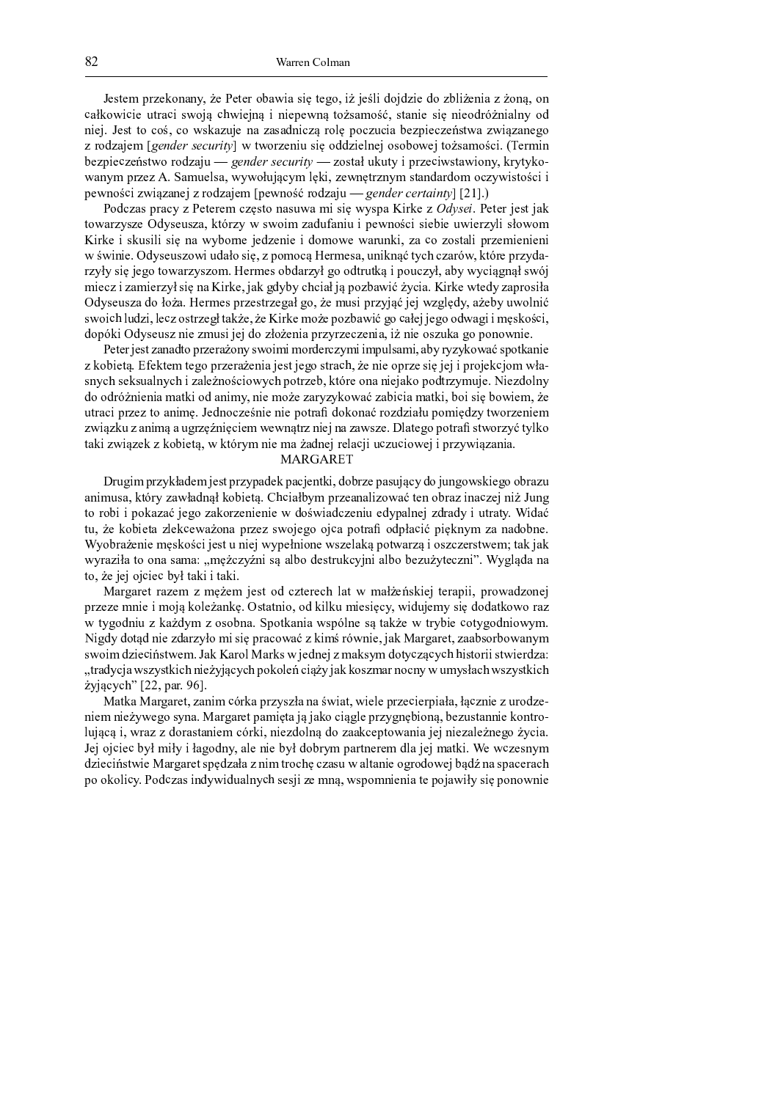Jestem przekonany, że Peter obawia się tego, iż jeśli dojdzie do zbliżenia z żona, on całkowicie utraci swoją chwiejną i niepewną tożsamość, stanie się nieodróżnialny od niej. Jest to coś, co wskazuje na zasadniczą rolę poczucia bezpieczeństwa związanego z rodzajem [gender security] w tworzeniu się oddzielnej osobowej tożsamości. (Termin bezpieczeństwo rodzaju — gender security — został ukuty i przeciwstawiony, krytykowanym przez A. Samuelsa, wywołującym lęki, zewnętrznym standardom oczywistości i pewności związanej z rodzajem [pewność rodzaju — gender certainty] [21].)

Podczas pracy z Peterem czesto nasuwa mi się wyspa Kirke z Odysei. Peter jest jak towarzysze Odyseusza, którzy w swoim zadufaniu i pewności siebie uwierzyli słowom Kirke i skusili się na wyborne jedzenie i domowe warunki, za co zostali przemienieni w świnie. Odyseuszowi udało się, z pomocą Hermesa, uniknąć tych czarów, które przydarzyły się jego towarzyszom. Hermes obdarzył go odtrutką i pouczył, aby wyciągnął swój miecz i zamierzył się na Kirke, jak gdyby chciał ją pozbawić życia. Kirke wtedy zaprosiła Odyseusza do łoża. Hermes przestrzegał go, że musi przyjąć jej względy, ażeby uwolnić swoich ludzi, lecz ostrzegł także, że Kirke może pozbawić go całej jego odwagi i męskości, dopóki Odyseusz nie zmusi jej do złożenia przyrzeczenia, iż nie oszuka go ponownie.

Peter jest zanadto przerażony swoimi morderczymi impulsami, aby ryzykować spotkanie z kobietą. Efektem tego przerażenia jest jego strach, że nie oprze się jej i projekcjom własnych seksualnych i zależnościowych potrzeb, które ona niejako podtrzymuje. Niezdolny do odróżnienia matki od animy, nie może zaryzykować zabicia matki, boi się bowiem, że utraci przez to animę. Jednocześnie nie potrafi dokonać rozdziału pomiędzy tworzeniem związku z animą a ugrzęźnięciem wewnątrz niej na zawsze. Dlatego potrafi stworzyć tylko taki związek z kobietą, w którym nie ma żadnej relacji uczuciowej i przywiązania.

#### MARGARET

Drugim przykładem jest przypadek pacjentki, dobrze pasujący do jungowskiego obrazu animusa, który zawładnął kobietą. Chciałbym przeanalizować ten obraz inaczej niż Jung to robi i pokazać jego zakorzenienie w doświadczeniu edypalnej zdrady i utraty. Widać tu, że kobieta zlekceważona przez swojego ojca potrafi odpłacić pięknym za nadobne. Wyobrażenie męskości jest u niej wypełnione wszelaką potwarzą i oszczerstwem; tak jak wyraziła to ona sama: "mężczyźni są albo destrukcyjni albo bezużyteczni". Wygląda na to, że jej ojciec był taki i taki.

Margaret razem z mężem jest od czterech lat w małżeńskiej terapii, prowadzonej przeze mnie i moją koleżankę. Ostatnio, od kilku miesięcy, widujemy się dodatkowo raz w tygodniu z każdym z osobna. Spotkania wspólne sa także w trybie cotygodniowym. Nigdy dotąd nie zdarzyło mi się pracować z kimś równie, jak Margaret, zaabsorbowanym swoim dzieciństwem. Jak Karol Marks w jednej z maksym dotyczących historii stwierdza: "tradycja wszystkich nieżyjących pokoleń ciąży jak koszmar nocny w umysłach wszystkich żyjących" [22, par. 96].

Matka Margaret, zanim córka przyszła na świat, wiele przecierpiała, łącznie z urodzeniem nieżywego syna. Margaret pamięta ją jako ciągle przygnębioną, bezustannie kontrolującą i, wraz z dorastaniem córki, niezdolną do zaakceptowania jej niezależnego życia. Jej ojciec był miły i łagodny, ale nie był dobrym partnerem dla jej matki. We wczesnym dzieciństwie Margaret spędzała z nim trochę czasu w altanie ogrodowej bądź na spacerach po okolicy. Podczas indywidualnych sesji ze mna, wspomnienia te pojawiły się ponownie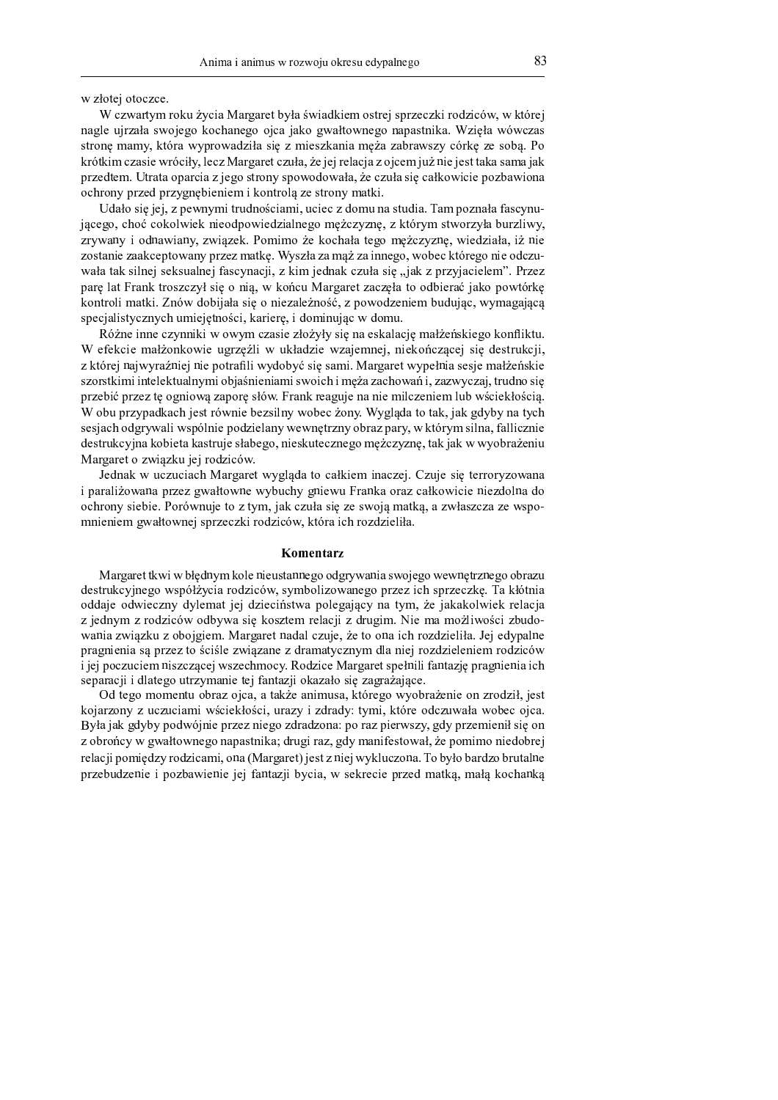w złotej otoczce.

W s<del>ouverture</del> velui <del>i</del>ure Menecuat bule évriedlique estuai seusecski nedsječur, vi które neele virale succiese lookenees eies ielte euskounees nepestuike. Waiele wówere atao ilo se casti iltoro tutte roto driko gio rissionritotlio se oro rotentuarii ochilio rotocolio. Il izao tiziwa orogio wwo oiky loor liloagoagh oryjko, go igi aglogio r oiogwa iyr filo igghtolig gowagio. w w ro otowa i twoto owowo o jogo grychy gworno o grycho go ornic osolicanio w orkonioù.  $\alpha$  o b w o that we can compute the state of the state of the state of the state of the state of the state of the state of the state of the state of the state of the state of the state of the state of the state of the st

 <sup>v</sup> <sup>n</sup> <sup>o</sup> } <sup>r</sup> <sup>q</sup> <sup>r</sup> <sup>m</sup> <sup>q</sup> <sup>l</sup> <sup>x</sup> <sup>y</sup> } <sup>p</sup> <sup>w</sup> { <sup>o</sup> <sup>s</sup> } <sup>v</sup> <sup>y</sup> } { <sup>s</sup> } <sup>q</sup> <sup>s</sup> <sup>m</sup> <sup>o</sup> <sup>y</sup> { <sup>v</sup> <sup>p</sup> { } <sup>v</sup> <sup>t</sup> <sup>v</sup> <sup>y</sup> <sup>o</sup> <sup>m</sup> <sup>v</sup> <sup>n</sup> <sup>v</sup> <sup>v</sup> <sup>s</sup> <sup>x</sup> { ודערולה הודיעה היידים המינויים הודיעה המינויים מה מוכן הודיעה ווידן וידן וידן וידן המינויים הה מינויים ו m w w lo din w lo di w m lomo di llo malmao da llo abo la toro macdominica w llo din la la fil <sup>m</sup> <sup>o</sup> <sup>p</sup> <sup>v</sup> } <sup>q</sup> <sup>m</sup> <sup>v</sup> <sup>v</sup> <sup>z</sup> <sup>s</sup> <sup>q</sup> <sup>p</sup> <sup>o</sup> <sup>l</sup> <sup>v</sup> <sup>x</sup> <sup>w</sup> <sup>m</sup> <sup>q</sup> <sup>m</sup> <sup>y</sup> <sup>v</sup> <sup>p</sup> <sup>z</sup> <sup>t</sup> <sup>u</sup> <sup>x</sup> <sup>m</sup> <sup>n</sup> <sup>v</sup> <sup>m</sup> <sup>v</sup> <sup>y</sup> <sup>|</sup> <sup>m</sup> <sup>v</sup> } <sup>q</sup> <sup>o</sup> <sup>l</sup> <sup>o</sup> <sup>q</sup> <sup>s</sup> <sup>z</sup> <sup>p</sup> <sup>w</sup> <sup>q</sup> <sup>o</sup> } <sup>q</sup> <sup>o</sup> <sup>s</sup> <sup>m</sup> { v roko to ir gilmoj golfgulo im oj togovrmo oji, z irimo i omno drugio do sioli z mezuroojojomo. Iluzo w o wo lot live this two strongers are only any lions on the compared to compare a strong worrhow is lromtuoli mentlyi. Impuridakunta sia o miarala-maga rimaninama hamaninga iyyuwanganaa  $\alpha$  s a fail is the ratio  $\alpha$  must at a thin  $\alpha$  and  $\alpha$  is a second in a second contract of a second

 $\mathsf{D}$  ágna inna arrywylci yr arrywo aragia rharyky gia na galralagia ma biońglyjągą kanflikty  $W_{\alpha}$ felseig melżenkowie ugradii w ukłodzie wzejemnej mielseńczecej się destrukcji m litonoj nojvyznomnioj nio notnotili vyzyčio čezo glo gomaj. Bilonogost vyznaokajo gogio mao kmongliji a po watijiwa i iwto lojitu a kazwai o hio gwiowai gwioioloji i wa opo po ojiowiowa i po putu zopol. Twy Gwo gi w m q A i o w m q q o o w w i o ttro . E o w o w o w o w l w o o w ti o was i o w o was lar o w o w o w o w o w W shu www.dlsoab.iost.vóuwia hozailwy wohoo żony. Wysolodo to tols, iak odyby no typ g o gio o là o Alometric I errom o laio mo Alometriciones erroremento dano o monetre e litografico del monetre  $\alpha$  or the  $\alpha$  is a light of  $\alpha$  is distributed as  $\alpha$  and  $\alpha$  and  $\alpha$  and  $\alpha$  and  $\alpha$  and  $\alpha$  and  $\alpha$  and  $\alpha$  and  $\alpha$ Margaret o związku jej rodziców.

Lednak w ugwydiadd Mensenet wygleda to cellriam inograi. Cruig aig tennewygewen i saasalimattasaa sastatti attialtattisaa titikkialatti assiattiin luosalia asatti aantilain saintilaisaa Alo shaqaati gio hio. Hoacattallio to ta'ttaa joli ottiko gio tto do marotic, o ttiticationale to tiga o manionalo wyzo kronym ol gwyro orlli y o Orlio Ony i llfowo i o Municipalito.

# Komentarz

 $\mu$  il o w o w of the state  $\mu$  is a local decoupled and one of owe stronged attack the strong of which or o one of the  $\sigma$ d saturit series as series it series as durations accorded to series and same rale summarially the library. o O Goto, o Gruio ormari Griloment tot Gruio deglierio, mologoto ori moltrime i rollo trollo tritoli mologi m to Guarmas m so Gimio officiale o Giming of a Trophhasa solo office Gimio stas. Bito san emittropol minicio d wonie zwiezku z okojająm. Mogogast nedel ezuje, że to one jęk nezdzieliło. Jej odynelu w yo customato, ao wytact to aoialo twyjetowe t Ayenaectyctyczyma Ale wiel yotaltylcienia yo Atioo'  $i$  is a sequel and we can be used to see the case. Do duing Mongonet angluit fantaula nua ani anis is is a s o w s s r s dlad s w a sidows one adre d s dwddawd alle wlaw o ka wr w w w w w w r s s s

 $\Omega$ d taga mamantu ahna aiga, a takin animusa. Irténaga wwahnaigania an zuadził iga ilotowy ow y y vorualawy władoliłogol wwary i rówaów wywal. Ilyawa adarwysała włada alaa Deste delle calentere e alcunidad e una caractería a dun da caso e o m o moderno e a desenvolvencia ad edese s a b w o w o x y y y gyro ho y do go down ghairo. Gwy gi wo a coly we objet og o y o y o wo weige o bio do hwo w q lo o li w owaio Arrivao Ario owai owo ill lowgowoth iostry wigi wy drivorowo . Lo larko laeving awato la i w m a b y d r ow i o i w o r b out i ow i o i t ow to rii by to io . I w a cloud of a want in was in to a bowli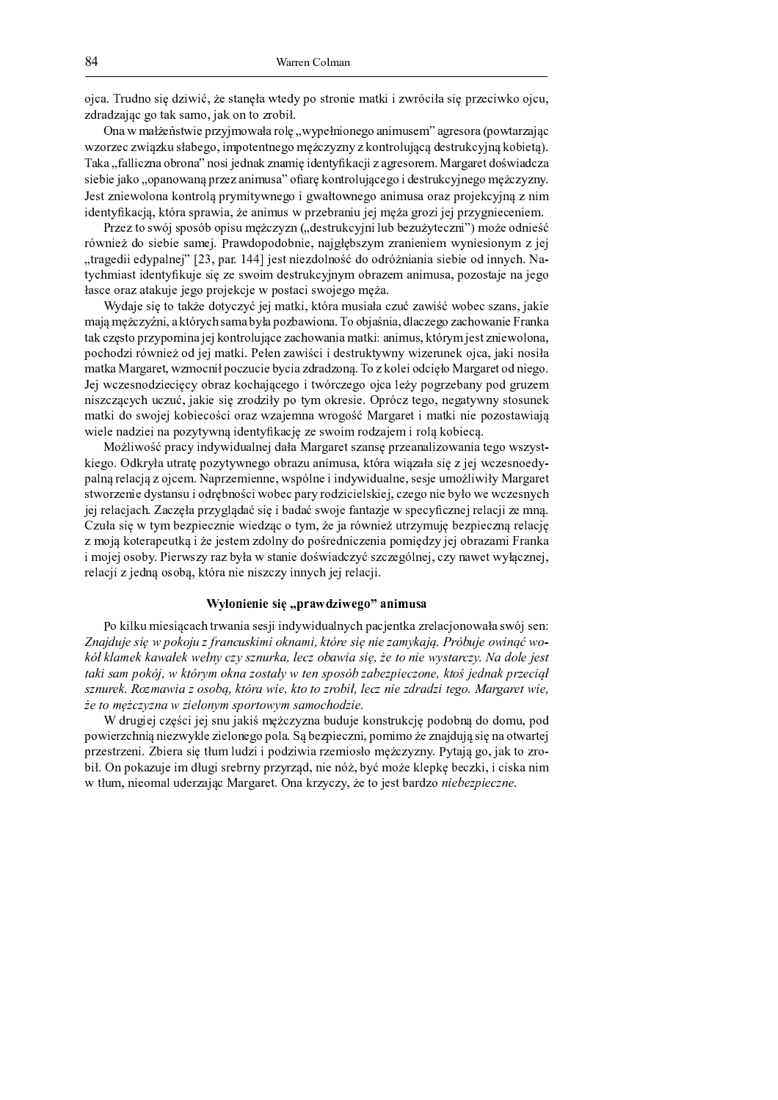ojca. Trudno się dziwić, że stanęła wtedy po stronie matki i zwróciła się przeciwko ojcu, zdradzając go tak samo, jak on to zrobił.

<sup>Õ</sup> <sup>Á</sup> » <sup>Æ</sup> <sup>Ï</sup> » <sup>Ì</sup> <sup>É</sup> <sup>Ê</sup> <sup>Ö</sup> <sup>Â</sup> <sup>Ë</sup> <sup>Æ</sup> <sup>Ã</sup> <sup>Ê</sup> <sup>Î</sup> <sup>¾</sup> <sup>Å</sup> <sup>Í</sup> <sup>¹</sup> <sup>Ï</sup> ¸ <sup>Æ</sup> » <sup>Ì</sup> » <sup>¾</sup> ¸ <sup>×</sup> <sup>Ä</sup> <sup>Ø</sup> <sup>Æ</sup> <sup>Í</sup> <sup>Î</sup> <sup>Ê</sup> <sup>Ì</sup> <sup>Á</sup> <sup>Ã</sup> ¸ <sup>Á</sup> <sup>Ê</sup> <sup>Ó</sup> ¸ » <sup>Á</sup> <sup>Ã</sup> <sup>Ï</sup> ¿ <sup>Â</sup> <sup>Ê</sup> <sup>Ï</sup> <sup>Ù</sup> » <sup>Ó</sup> <sup>¾</sup> <sup>Ê</sup> <sup>Â</sup> ¸ <sup>¾</sup> » <sup>Ú</sup> <sup>Î</sup> ¸ <sup>Æ</sup> <sup>Ë</sup> » <sup>¾</sup> <sup>Å</sup> » <sup>¹</sup> <sup>Ò</sup> <sup>º</sup> wzorzec związku słabego, impotentnego mężczyzny z kontrolującą destrukcyjną kobietą). Taka "falliczna obrona" nosi jednak znamię identyfikacji z agresorem. Margaret doświadcza siebie jako "opanowana przez animusa" ofiare kontrolującego i destrukcyjnego meżczyzny. Lest anierrelene teorinele numitumene i arrettermene enimene ener nucleicarine a ni identyfikacja, która sprawia, że animus w przebraniu jej meża grozi jej przygnieceniem.

Dezez te evisi enecis o nieu mezez vzn. (, decturberini lub hervir teerni") mezez e dui eé  $\mu\delta\bm{v}$  de diskie samei. Drawdonedskrie, neielskozym znanieniem wymiesienym z is "tragedii edypalnej" [23, par. 144] jest niezdolność do odróżniania siebie od innych. Natychmiast identyfikuje się ze swoim destrukcyjnym obrazem animusa, pozostaje na jego łasce oraz atakuje jego projekcje w postaci swojego męża.

Wydaia sią to tokżą dotyczyć isi motki. które musicke czyć zewićć wokoe czere, ieki mają mężczyźni, a których sama była pozbawiona. To objaśnia, dlaczego zachowanie Franka tak często przypomina jej kontrolujące zachowania matki: animus, którym jest zniewolona, s also dei só verios od ioi mentri. Delos espriéoi i doctrulatempos priesmus de oiso , iol i socil matka Margaret, wzmocnił poczucie bycia zdradzoną. To z kolei odcięło Margaret od niego. Lai wernou odriosioou, akuar kookoiseese i tyónerose, aise loru noourekouw nod, auwro  $\hat{A}$ matki do swojej kobiecości oraz wzajemna wrogość Margaret i matki nie pozostawiają wiele nadziei na pozytywną identyfikację ze swoim rodzajem i rolą kobiecą.

Możliwość pracy indywidualnej dała Margaret szansę przeanalizowania tego wszyst- $\Gamma$ iege.  $\Omega$ dlarde utate nextrumege elment enimue. Itténe viezele die z iei viezenegdr palną relacją z ojcem. Naprzemienne, wspólne i indywidualne, sesje umożliwiły Margaret stworzenie dystansu i odrebności wobec pary rodzicielskiej, czego nie było we wczesnych jej relacjach. Zaczęła przyglądać się i badać swoje fantazje w specyficznej relacji ze mną. Caula de 11 time hornicornio vicolace e time, às is nóvinicà uturismento hornicorno noloci z moją koterapeutką i że jestem zdolny do pośredniczenia pomiędzy jej obrazami Franka  $\lambda$  as a la  $\lambda$  and  $\lambda$  . Digmenter note lations to topic do évric dottrio atomobile al constructural operation relacji z jedną osobą, która nie niszczy innych jej relacji.

## <sup>ñ</sup> <sup>ò</sup> <sup>ó</sup> <sup>ô</sup> <sup>õ</sup> <sup>ö</sup> <sup>÷</sup> <sup>õ</sup> <sup>ö</sup> <sup>÷</sup> <sup>ø</sup> <sup>ö</sup> <sup>ù</sup> <sup>ú</sup> <sup>û</sup> <sup>ü</sup> <sup>ý</sup> <sup>þ</sup> <sup>ÿ</sup> <sup>ö</sup> <sup>þ</sup> <sup>÷</sup> <sup>ô</sup> - <sup>ý</sup> <sup>õ</sup> <sup>ö</sup> <sup>ø</sup> <sup>ý</sup>

De Lillen miesissaak tuvanis sasii indruviduslavak nasiontles zuelasion evak avak avai san    ! " # " "  #  \$  % #   $t$ aki sam pokój, w którym okna zostały w ten sposób zabezpieczone, ktoś jednak przeciął sznurek. Rozmawia z osoba, która wie, kto to zrobił, lecz nie zdradzi tego. Margaret wie że to mężczyzna w zielonym sportowym samochodzie.

₩/ darratist sillat til samm tiditä arrikisissa kirdinti disalakandisti arrididan dia disamma sill powierzchnią niezwykle zielonego pola. Są bezpieczni, pomimo że znajdują się na otwartej <sup>Î</sup> <sup>¾</sup> <sup>Å</sup> <sup>Ê</sup> <sup>Â</sup> <sup>Ë</sup> <sup>¾</sup> <sup>Å</sup> <sup>Ê</sup> <sup>Á</sup> <sup>Ã</sup> <sup>¼</sup> <sup>ï</sup> <sup>Ô</sup> <sup>Ã</sup> <sup>Ê</sup> <sup>¾</sup> » <sup>Â</sup> <sup>Ã</sup> <sup>Ä</sup> <sup>Ë</sup> <sup>Ì</sup> ¿ <sup>Ï</sup> <sup>×</sup> ¿ <sup>À</sup> <sup>Å</sup> <sup>Ã</sup> <sup>Ã</sup> <sup>Î</sup> ¸ <sup>À</sup> <sup>Å</sup> <sup>Ã</sup> <sup>Æ</sup> <sup>Ã</sup> » <sup>¾</sup> <sup>Å</sup> <sup>Ê</sup> <sup>Ï</sup> <sup>Ã</sup> ¸ <sup>Â</sup> <sup>Ì</sup> ¸ <sup>Ï</sup> <sup>Ä</sup> <sup>É</sup> <sup>º</sup> <sup>Å</sup> <sup>Í</sup> <sup>Å</sup> <sup>Á</sup> <sup>Í</sup> <sup>¼</sup> <sup>á</sup> <sup>Í</sup> <sup>Ë</sup> » <sup>¹</sup> <sup>Ò</sup> <sup>Ó</sup> ¸ <sup>È</sup> <sup>¹</sup> » <sup>Ð</sup> <sup>Ë</sup> ¸ <sup>Å</sup> <sup>¾</sup> ¸ <sup>ê</sup> <sup>Ô</sup> <sup>Ã</sup> <sup>Ì</sup> <sup>¼</sup> <sup>Õ</sup> <sup>Á</sup> <sup>Î</sup> ¸ <sup>Ð</sup> » <sup>Å</sup> ¿ <sup>¹</sup> <sup>Ê</sup> <sup>Ã</sup> <sup>Ï</sup> <sup>À</sup> <sup>Ì</sup> ¿ <sup>Ó</sup> <sup>Ã</sup> <sup>Â</sup> <sup>¾</sup> <sup>Ê</sup> <sup>Ô</sup> <sup>¾</sup> <sup>Á</sup> <sup>Í</sup> <sup>Î</sup> <sup>¾</sup> <sup>Å</sup> <sup>Í</sup> <sup>¾</sup> <sup>Å</sup> <sup>Ò</sup> <sup>À</sup> <sup>È</sup> <sup>Á</sup> <sup>Ã</sup> <sup>Ê</sup> <sup>Á</sup> <sup>Ñ</sup> <sup>É</sup> <sup>È</sup> <sup>Ô</sup> <sup>Í</sup> <sup>Ç</sup> <sup>Ï</sup> ¸ <sup>É</sup> <sup>Ê</sup> <sup>Ð</sup> <sup>×</sup> <sup>Ê</sup> <sup>Î</sup> <sup>Ð</sup> <sup>Ä</sup> <sup>Ô</sup> <sup>Ê</sup> <sup>º</sup> <sup>Å</sup> <sup>Ð</sup> <sup>Ã</sup> <sup>È</sup> <sup>Ã</sup> <sup>º</sup> <sup>Ã</sup> <sup>Â</sup> <sup>Ð</sup> » <sup>Á</sup> <sup>Ã</sup> <sup>Ï</sup> <sup>Æ</sup> <sup>Ë</sup> <sup>Ì</sup> ¿ <sup>Ï</sup> <sup>È</sup> <sup>Á</sup> <sup>Ã</sup> <sup>Ê</sup> ¸ <sup>Ï</sup> » <sup>×</sup> ¿ <sup>À</sup> <sup>Ê</sup> <sup>¾</sup> <sup>Å</sup> » <sup>¹</sup> <sup>Ò</sup> <sup>º</sup> <sup>Þ</sup> » <sup>¾</sup> <sup>Ó</sup> » <sup>¾</sup> <sup>Ê</sup> <sup>Ë</sup> <sup>¼</sup> <sup>Õ</sup> <sup>Á</sup> » <sup>Ð</sup> <sup>¾</sup> <sup>Å</sup> <sup>Í</sup> <sup>º</sup> <sup>Å</sup> <sup>Í</sup> <sup>È</sup> <sup>É</sup> <sup>Ê</sup> <sup>Ë</sup> ¸ <sup>¹</sup> <sup>Ê</sup> <sup>Â</sup> <sup>Ë</sup> <sup>Ô</sup> » <sup>¾</sup> <sup>À</sup> <sup>Å</sup> ¸ ¼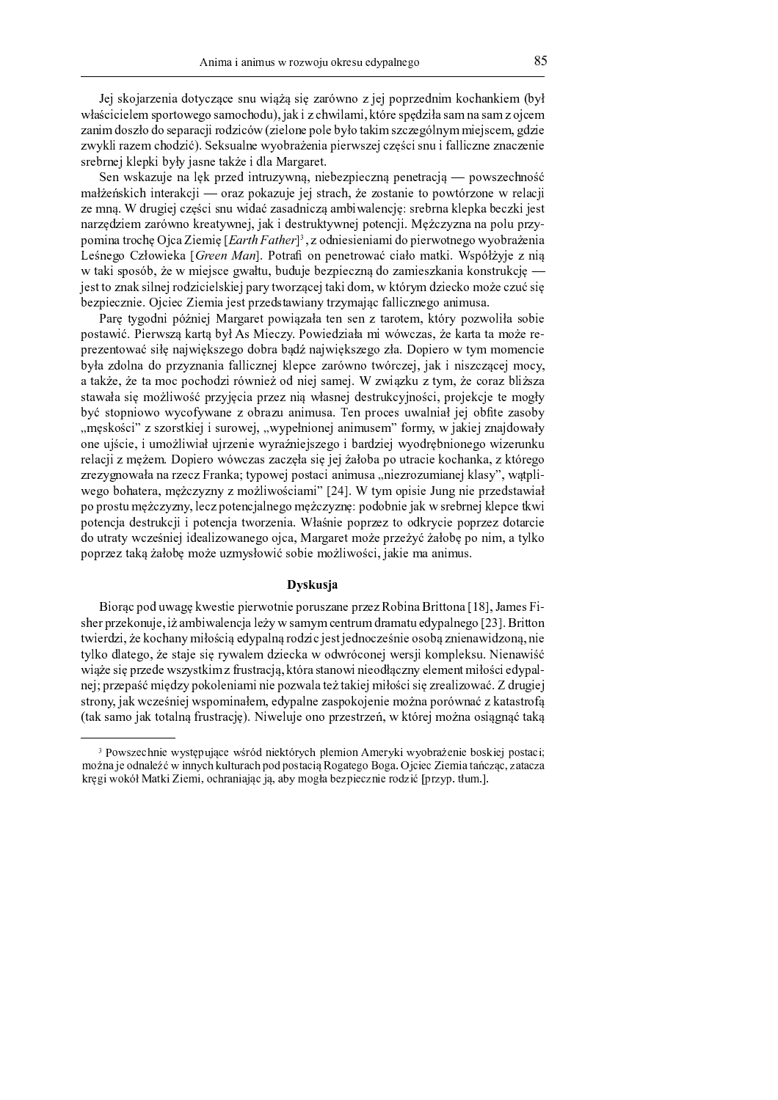Jei skoiarzenia dotyczące snu wiążą się zarówno z jej poprzednim kochankiem (był właścicielem sportowego samochodu), jak i z chwilami, które spędziła sam na sam z ojcem zanim doszło do separacji rodziców (zielone pole było takim szczególnym miejscem, gdzie zwykli razem chodzić). Seksualne wyobrażenia pierwszej części snu i falliczne znaczenie srebrnej klepki były jasne także i dla Margaret.

Sen wskazuje na lęk przed intruzywną, niebezpieczną penetracją — powszechność małżeńskich interakcji — oraz pokazuje jej strach, że zostanie to powtórzone w relacji ze mna. W drugiej cześci snu widać zasadnicza ambiwalencje: srebrna klepka beczki jest narzędziem zarówno kreatywnej, jak i destruktywnej potencji. Mężczyzna na polu przypomina trochę Ojca Ziemię [Earth Father]<sup>3</sup>, z odniesieniami do pierwotnego wyobrażenia Leśnego Człowieka [Green Man]. Potrafi on penetrować ciało matki. Współżyje z nią w taki sposób, że w miejsce gwałtu, buduje bezpieczną do zamieszkania konstrukcję jest to znak silnej rodzicielskiej pary tworzącej taki dom, w którym dziecko może czuć się bezpiecznie. Ojciec Ziemia jest przedstawiany trzymając fallicznego animusa.

Parę tygodni później Margaret powiązała ten sen z tarotem, który pozwoliła sobie postawić. Pierwszą kartą był As Mieczy. Powiedziała mi wówczas, że karta ta może reprezentować siłę największego dobra bądź największego zła. Dopiero w tym momencie była zdolna do przyznania fallicznej klepce zarówno twórczej, jak i niszczącej mocy, a także, że ta moc pochodzi również od niej samej. W związku z tym, że coraz bliższa stawała się możliwość przyjęcia przez nią własnej destrukcyjności, projekcje te mogły być stopniowo wycofywane z obrazu animusa. Ten proces uwalniał jej obfite zasoby meskości" z szorstkiej i surowej, "wypełnionej animusem" formy, w jakiej znajdował. one ujście, i umożliwiał ujrzenie wyraźniejszego i bardziej wyodrębnionego wizerunku relacji z mężem. Dopiero wówczas zaczęła się jej żałoba po utracie kochanka, z którego zrezygnowała na rzecz Franka: typowei postaci animusa "niezrozumianei klasy", watpli wego bohatera, mężczyzny z możliwościami" [24]. W tym opisie Jung nie przedstawiał po prostu mężczyzny, lecz potencjalnego mężczyznę: podobnie jak w srebrnej klepce tkwi potencja destrukcji i potencja tworzenia. Właśnie poprzez to odkrycie poprzez dotarcie do utraty wcześniej idealizowanego ojca, Margaret może przeżyć żałobę po nim, a tylko poprzez taką żałobę może uzmysłowić sobie możliwości, jakie ma animus.

## Dyskusja

Biorąc pod uwagę kwestie pierwotnie poruszane przez Robina Brittona [18], James Fisher przekonuje, iż ambiwalencia leży w samym centrum dramatu edypalnego [23]. Britton twierdzi, że kochany miłością edypalną rodzic jest jednocześnie osobą znienawidzoną, nie tylko dlatego, że staje się rywalem dziecka w odwróconej wersji kompleksu. Nienawiść wiąże się przede wszystkim z frustracją, która stanowi nieodłączny element miłości edypalnej; przepaść miedzy pokoleniami nie pozwala też takiej miłości się zrealizować. Z drugiej strony, jak wcześniej wspominałem, edypalne zaspokojenie można porównać z katastrofą (tak samo jak totalną frustrację). Niweluje ono przestrzeń, w której można osiągnąć taką

 <sup>7</sup> <sup>5</sup> <sup>4</sup> <sup>8</sup> ; / <sup>0</sup> ; <sup>5</sup> <sup>=</sup> <sup>4</sup> <sup>&</sup>gt; <sup>3</sup> <sup>9</sup> ; <sup>5</sup> <sup>6</sup> <sup>&</sup>lt; / <sup>0</sup> ; : <sup>6</sup> <sup>=</sup> <sup>&</sup>gt; ? ; <sup>1</sup> <sup>0</sup> <sup>7</sup> / . <sup>1</sup> ; <sup>6</sup> <sup>=</sup> : <sup>0</sup> <sup>5</sup> <sup>=</sup> <sup>7</sup> <sup>6</sup> <sup>2</sup> ; / <sup>0</sup> ; <sup>7</sup> <sup>4</sup> : <sup>0</sup> ; <sup>9</sup> <sup>&</sup>gt; <sup>7</sup> <sup>4</sup> <sup>2</sup> <sup>0</sup> można je odnaleźć w innych kulturach pod postacia Rogatego Boga. Ojciec Ziemia tańczac, zatacza kręgi wokół Matki Ziemi, ochraniając ją, aby mogła bezpiecznie rodzić [przyp. tłum.].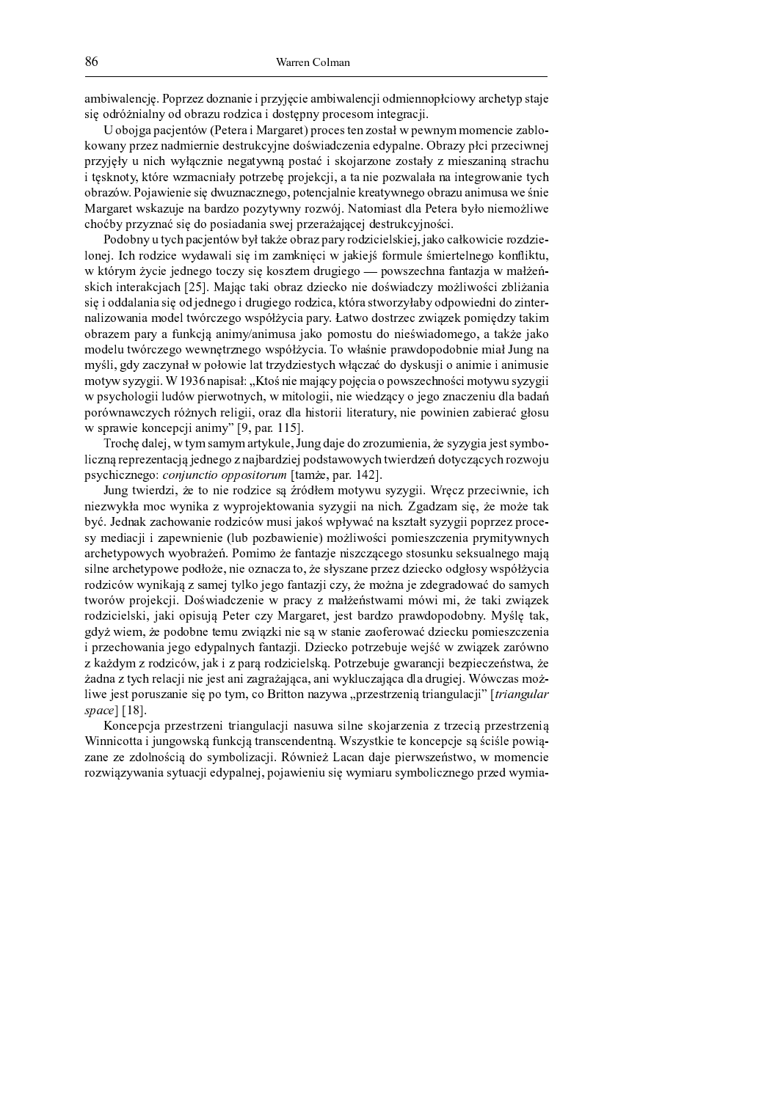ambiwalencje. Poprzez doznanie i przyjęcie ambiwalencji odmiennopłciowy archetyp staje się odróżnialny od obrazu rodzica i dostępny procesom integracji.

U obojga pacjentów (Petera i Margaret) proces ten został w pewnym momencie zablokowany przez nadmiernie destrukcyjne doświadczenia edypalne. Obrazy płci przeciwnej przyjęły u nich wyłącznie negatywną postać i skojarzone zostały z mieszaniną strachu i tęsknoty, które wzmacniały potrzebę projekcji, a ta nie pozwalała na integrowanie tych obrazów. Pojawienie się dwuznacznego, potencjalnie kreatywnego obrazu animusa we śnie Margaret wskazuje na bardzo pozytywny rozwój. Natomiast dla Petera było niemożliwe choćby przyznać się do posiadania swej przerażającej destrukcyjności.

Podobny u tych pacjentów był także obraz pary rodzicielskiej, jako całkowicie rozdzielonej. Ich rodzice wydawali się im zamknięci w jakiejś formule śmiertelnego konfliktu, w którym życie jednego toczy się kosztem drugiego - powszechna fantazja w małżeńskich interakcjach [25]. Mając taki obraz dziecko nie doświadczy możliwości zbliżania się i oddalania się od jednego i drugiego rodzica, która stworzyłaby odpowiedni do zinternalizowania model twórczego współżycia pary. Łatwo dostrzec związek pomiędzy takim obrazem pary a funkcją animy/animusa jako pomostu do nieświadomego, a także jako modelu twórczego wewnętrznego współżycia. To właśnie prawdopodobnie miał Jung na myśli, gdy zaczynał w połowie lat trzydziestych włączać do dyskusji o animie i animusie motyw syzygii. W 1936 napisał: "Ktoś nie mający pojęcia o powszechności motywu syzygii w psychologii ludów pierwotnych, w mitologii, nie wiedzący o jego znaczeniu dla badań porównawczych różnych religii, oraz dla historii literatury, nie powinien zabierać głosu w sprawie koncepcji animy" [9, par. 115].

Trochę dalej, w tym samym artykule, Jung daje do zrozumienia, że syzygia jest symboliczną reprezentacją jednego z najbardziej podstawowych twierdzeń dotyczących rozwoju psychicznego: *conjunctio oppositorum* [tamże, par. 142].

Jung twierdzi, że to nie rodzice są źródłem motywu syzygii. Wręcz przeciwnie, ich niezwykła moc wynika z wyprojektowania syzygii na nich. Zgadzam się, że może tak być. Jednak zachowanie rodziców musi jakoś wpływać na kształt syzygii poprzez procesy mediacji i zapewnienie (lub pozbawienie) możliwości pomieszczenia prymitywnych archetypowych wyobrażeń. Pomimo że fantazie niszczącego stosunku seksualnego mają silne archetypowe podłoże, nie oznacza to, że słyszane przez dziecko odgłosy współżycia rodziców wynikają z samej tylko jego fantazji czy, że można je zdegradować do samych tworów projekcji. Doświadczenie w pracy z małżeństwami mówi mi, że taki związek rodzicielski, jaki opisują Peter czy Margaret, jest bardzo prawdopodobny. Myślę tak, gdyż wiem, że podobne temu związki nie są w stanie zaoferować dziecku pomieszczenia i przechowania jego edypalnych fantazji. Dziecko potrzebuje wejść w związek zarówno z każdym z rodziców, jak i z para rodzicielską. Potrzebuje gwarancji bezpieczeństwa, że żadna z tych relacji nie jest ani zagrażająca, ani wykluczająca dla drugiej. Wówczas możliwe jest poruszanie się po tym, co Britton nazywa "przestrzenią triangulacji" [triangular space]  $[18]$ .

Koncepcia przestrzeni triangulacji nasuwa silne skojarzenia z trzecia przestrzenia Winnicotta i jungowską funkcją transcendentną. Wszystkie te koncepcje są ściśle powiązane ze zdolnością do symbolizacji. Również Lacan daje pierwszeństwo, w momencie rozwiązywania sytuacji edypalnej, pojawieniu się wymiaru symbolicznego przed wymia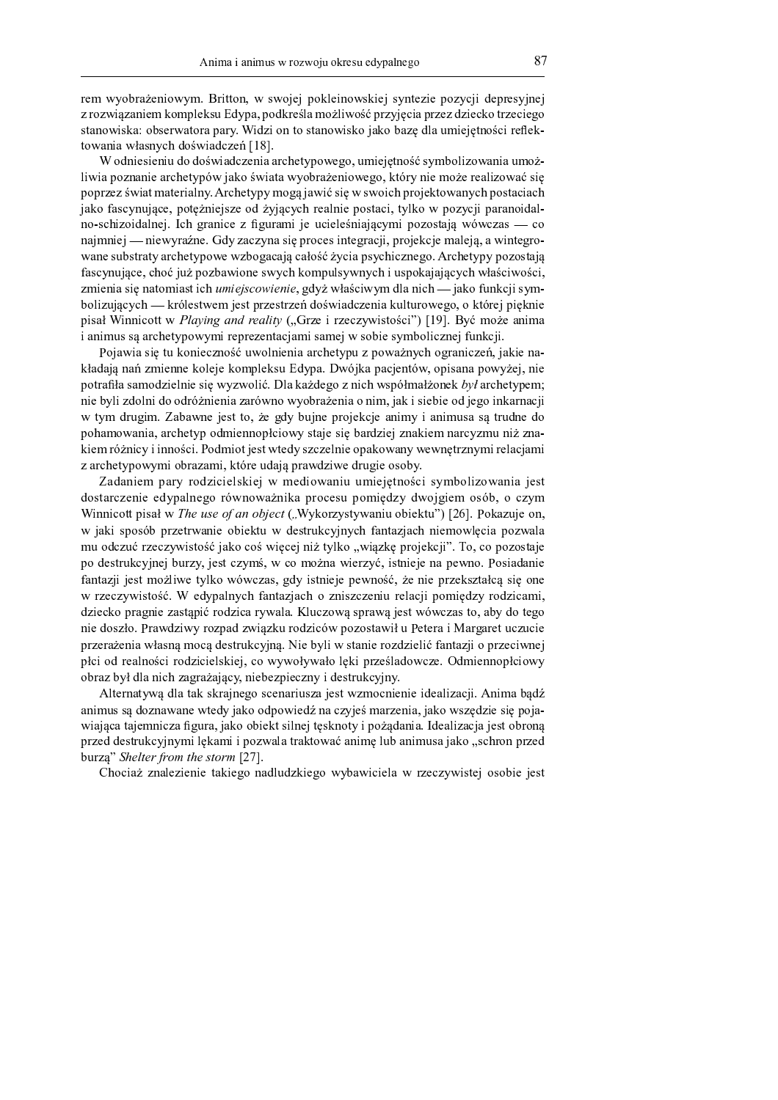rem wyobrażeniowym. Britton, w swojej poklejnowskiej syntezie pozycji depresyjnej z rozwiązaniem kompleksu Edypa, podkreśla możliwość przyjęcia przez dziecko trzeciego stanowiska: obserwatora pary. Widzi on to stanowisko jako bazę dla umiejętności reflektowania własnych doświadczeń [18].

W odniesieniu do doświadczenia archetypowego, umiejętność symbolizowania umożliwia poznanie archetypów jako świata wyobrażeniowego, który nie może realizować się poprzez świat materialny. Archetypy mogą jawić się w swoich projektowanych postaciach jako fascynujące, potężniejsze od żyjących realnie postaci, tylko w pozycji paranoidalno-schizoidalnej. Ich granice z figurami je ucieleśniającymi pozostają wówczas - co najmniej — niewyraźne. Gdy zaczyna się proces integracji, projekcje maleją, a wintegrowane substraty archetypowe wzbogacają całość życia psychicznego. Archetypy pozostają fascynujące, choć już pozbawione swych kompulsywnych i uspokajających właściwości, zmienia się natomiast ich *umiejscowienie*, gdyż właściwym dla nich — jako funkcji symbolizujących — królestwem jest przestrzeń doświadczenia kulturowego, o której pięknie pisał Winnicott w Playing and reality ("Grze i rzeczywistości") [19]. Być może anima i animus są archetypowymi reprezentacjami samej w sobie symbolicznej funkcji.

Pojawia się tu konieczność uwolnienia archetypu z poważnych ograniczeń, jakie nakładają nań zmienne koleje kompleksu Edypa. Dwójka pacjentów, opisana powyżej, nie potrafiła samodzielnie się wyzwolić. Dla każdego z nich współmałżonek był archetypem; nie byli zdolni do odróżnienia zarówno wyobrażenia o nim, jak i siebie od jego inkarnacji w tym drugim. Zabawne jest to, że gdy bujne projekcje animy i animusa są trudne do pohamowania, archetyp odmiennopłciowy staje się bardziej znakiem narcyzmu niż znakiem różnicy i inności. Podmiot jest wtedy szczelnie opakowany wewnętrznymi relacjami z archetypowymi obrazami, które udają prawdziwe drugie osoby.

Zadaniem pary rodzicielskiej w mediowaniu umiejętności symbolizowania jest dostarczenie edypalnego równoważnika procesu pomiędzy dwojgiem osób, o czym Winnicott pisał w The use of an object ("Wykorzystywaniu obiektu") [26]. Pokazuje on, w jaki sposób przetrwanie obiektu w destrukcyjnych fantazjach niemowlęcia pozwala mu odczuć rzeczywistość jako coś więcej niż tylko "wiązkę projekcji". To, co pozostaje po destrukcyjnej burzy, jest czymś, w co można wierzyć, istnieje na pewno. Posiadanie fantazji jest możliwe tylko wówczas, gdy istnieje pewność, że nie przekształcą się one w rzeczywistość. W edypalnych fantazjach o zniszczeniu relacji pomiędzy rodzicami, dziecko pragnie zastąpić rodzica rywala. Kluczową sprawą jest wówczas to, aby do tego nie doszło. Prawdziwy rozpad związku rodziców pozostawił u Petera i Margaret uczucie przerażenia własną mocą destrukcyjną. Nie byli w stanie rozdzielić fantazji o przeciwnej płci od realności rodzicielskiej, co wywoływało lęki prześladowcze. Odmiennopłciowy obraz był dla nich zagrażający, niebezpieczny i destrukcyjny.

Alternatywą dla tak skrajnego scenariusza jest wzmocnienie idealizacji. Anima bądź animus są doznawane wtedy jako odpowiedź na czyjeś marzenia, jako wszędzie się pojawiająca tajemniczą figura, jako obiekt silnej tesknoty i pożadania. Idealizacja jest obrona przed destrukcyjnymi lękami i pozwala traktować animę lub animusa jako "schron przed burza" Shelter from the storm [27].

Chociaż znalezienie takiego nadludzkiego wybawiciela w rzeczywistej osobie jest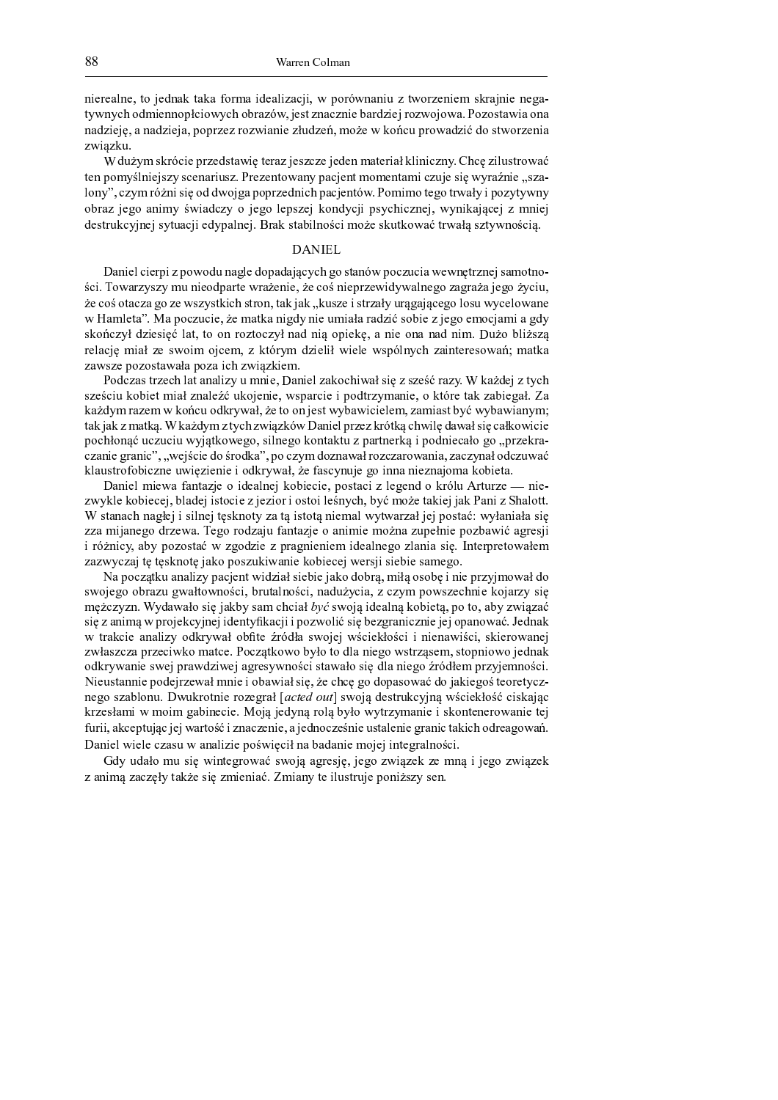nierealne, to jednak taka forma idealizacji, w porównaniu z tworzeniem skrajnie negatywnych odmiennopłciowych obrazów, jest znacznie bardziej rozwojowa. Pozostawia ona nadzieję, a nadzieja, poprzez rozwianie złudzeń, może w końcu prowadzić do stworzenia związku.

W dużym skrócie przedstawię teraz jeszcze jeden materiał kliniczny. Chcę zilustrować ten pomyślniejszy scenariusz. Prezentowany pacjent momentami czuje się wyraźnie "szalony", czym różni się od dwojga poprzednich pacjentów. Pomimo tego trwały i pozytywny obraz jego animy świadczy o jego lepszej kondycji psychicznej, wynikającej z mniej destrukcyjnej sytuacji edypalnej. Brak stabilności może skutkować trwała sztywnościa.

# **DANIEL**

Daniel cierpi z powodu nagle dopadających go stanów poczucia wewnętrznej samotności. Towarzyszy mu nieodparte wrażenie, że coś nieprzewidywalnego zagraża jego życiu, że coś otacza go ze wszystkich stron, tak jak "kusze i strzały urągającego losu wycelowane w Hamleta". Ma poczucie, że matka nigdy nie umiała radzić sobie z jego emocjami a gdy skończył dziesięć lat, to on roztoczył nad nią opiekę, a nie ona nad nim. Dużo bliższą relację miał ze swoim ojcem, z którym dzielił wiele wspólnych zainteresowań; matka zawsze pozostawała poza ich związkiem.

Podczas trzech lat analizy u mnie, Daniel zakochiwał się z sześć razy. W każdej z tych sześciu kobiet miał znaleźć ukojenie, wsparcie i podtrzymanie, o które tak zabiegał. Za każdym razem w końcu odkrywał, że to on jest wybawicielem, zamiast być wybawianym; tak jak z matką. W każdym z tych związków Daniel przez krótką chwilę dawał się całkowicie pochłonąć uczuciu wyjątkowego, silnego kontaktu z partnerką i podniecało go "przekra-.<br>czanie granic", "wejście do środka", po czym doznawał rozczarowania, zaczynał odczuwać klaustrofobiczne uwięzienie i odkrywał, że fascynuje go inna nieznajoma kobieta.

Daniel miewa fantazje o idealnej kobiecie, postaci z legend o królu Arturze — niezwykle kobiecej, bladej istocie z jezior i ostoi leśnych, być może takiej jak Pani z Shalott. W stanach nagłej i silnej tęsknoty za tą istotą niemal wytwarzał jej postać: wyłaniała się zza mijanego drzewa. Tego rodzaju fantazje o animie można zupełnie pozbawić agresji i różnicy, aby pozostać w zgodzie z pragnieniem idealnego zlania się. Interpretowałem zazwyczaj tę tęsknotę jako poszukiwanie kobiecej wersji siebie samego.

Na początku analizy pacjent widział siebie jako dobrą, miłą osobę i nie przyjmował do swojego obrazu gwałtowności, brutalności, nadużycia, z czym powszechnie kojarzy się mężczyzn. Wydawało się jakby sam chciał być swoją idealną kobietą, po to, aby związać się z animą w projekcyjnej identyfikacji i pozwolić się bezgranicznie jej opanować. Jednak w trakcie analizy odkrywał obfite źródła swojej wściekłości i nienawiści, skierowanej zwłaszcza przeciwko matce. Początkowo było to dla niego wstrząsem, stopniowo jednak odkrywanie swej prawdziwej agresywności stawało się dla niego źródłem przyjemności. Nieustannie podejrzewał mnie i obawiał się, że chce go dopasować do jakiegoś teoretycznego szablonu. Dwukrotnie rozegrał [acted out] swoją destrukcyjną wściekłość ciskając krzesłami w moim gabinecie. Moją jedyną rolą było wytrzymanie i skontenerowanie tej furii, akceptując jej wartość i znaczenie, a jednocześnie ustalenie granic takich odreagowań. Daniel wiele czasu w analizie poświęcił na badanie mojej integralności.

Gdy udało mu się wintegrować swoją agresję, jego związek ze mną i jego związek z animą zaczęły także się zmieniać. Zmiany te ilustruje poniższy sen.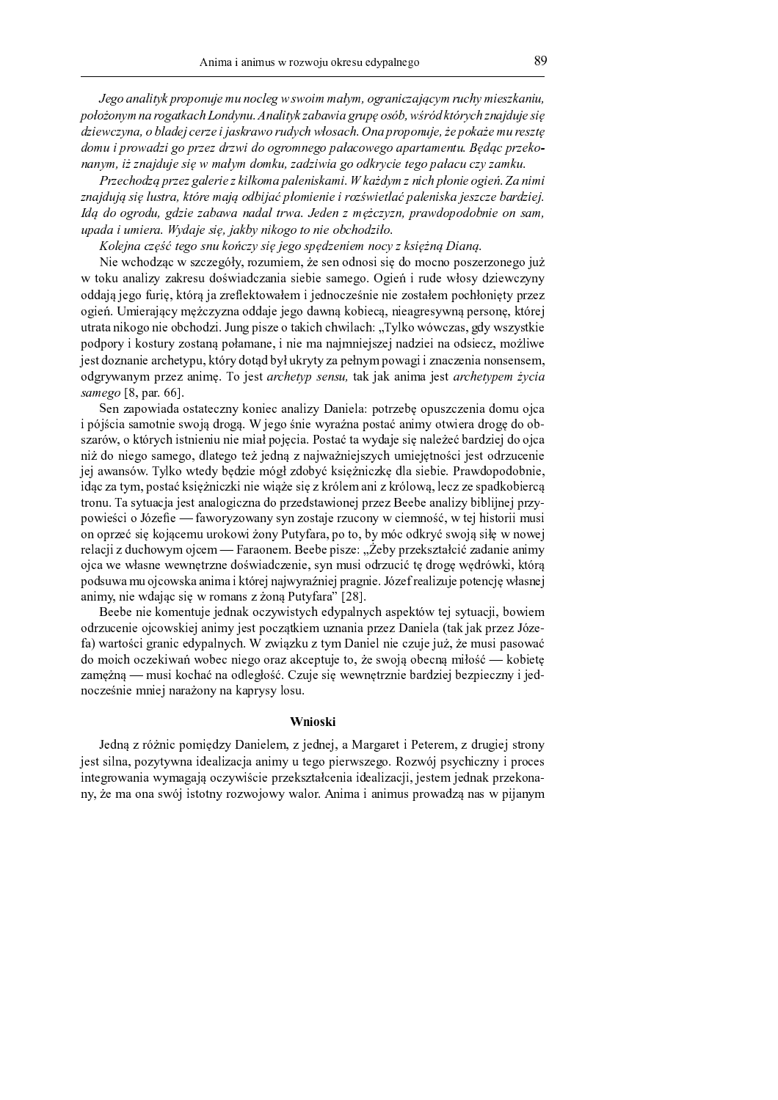Jego analityk proponuje mu nocleg w swoim małym, ograniczającym ruchy mieszkaniu, położonym na rogatkach Londynu. Analityk zabawia grupę osób, wśród których znajduje się dziewczyna, o bladej cerze i jaskrawo rudych włosach. Ona proponuje, że pokaże mu resztę domu i prowadzi go przez drzwi do ogromnego pałacowego apartamentu. Będąc przekonanym, iż znajduje się w małym domku, zadziwia go odkrycie tego pałacu czy zamku.

Przechodzą przez galerie z kilkoma paleniskami. W każdym z nich płonie ogień. Za nimi znajdują się lustra, które mają odbijać płomienie i rozświetlać paleniska jeszcze bardziej. Idą do ogrodu, gdzie zabawa nadal trwa. Jeden z mężczyzn, prawdopodobnie on sam, upada i umiera. Wydaje się, jakby nikogo to nie obchodziło.

Kolejna część tego snu kończy się jego spędzeniem nocy z księżną Dianą.

Nie wchodząc w szczegóły, rozumiem, że sen odnosi się do mocno poszerzonego już w toku analizy zakresu doświadczania siebie samego. Ogień i rude włosy dziewczyny oddają jego furię, którą ja zreflektowałem i jednocześnie nie zostałem pochłonięty przez ogień. Umierający mężczyzna oddaje jego dawną kobiecą, nieagresywną personę, której utrata nikogo nie obchodzi. Jung pisze o takich chwilach: "Tylko wówczas, gdy wszystkie podpory i kostury zostaną połamane, i nie ma najmniejszej nadziei na odsiecz, możliwe jest doznanie archetypu, który dotąd był ukryty za pełnym powagi i znaczenia nonsensem, odgrywanym przez animę. To jest archetyp sensu, tak jak anima jest archetypem życia samego [8, par. 66].

Sen zapowiada ostateczny koniec analizy Daniela: potrzebę opuszczenia domu ojca i pójścia samotnie swoją drogą. W jego śnie wyraźna postać animy otwiera drogę do obszarów, o których istnieniu nie miał pojęcia. Postać ta wydaje się należeć bardziej do ojca niż do niego samego, dlatego też jedną z najważniejszych umiejętności jest odrzucenie jej awansów. Tylko wtedy będzie mógł zdobyć księżniczkę dla siebie. Prawdopodobnie, idąc za tym, postać księżniczki nie wiąże się z królem ani z królową, lecz ze spadkobiercą tronu. Ta sytuacja jest analogiczna do przedstawionej przez Beebe analizy biblijnej przypowieści o Józefie — faworyzowany syn zostaje rzucony w ciemność, w tej historii musi on oprzeć się kojącemu urokowi żony Putyfara, po to, by móc odkryć swoją siłę w nowej relacji z duchowym ojcem — Faraonem. Beebe pisze: "Żeby przekształcić zadanie animy ojca we własne wewnętrzne doświadczenie, syn musi odrzucić tę drogę wędrówki, którą podsuwa mu ojcowska anima i której najwyraźniej pragnie. Józef realizuje potencję własnej animy, nie wdając się w romans z żoną Putyfara" [28].

Beebe nie komentuje jednak oczywistych edypalnych aspektów tej sytuacji, bowiem odrzucenie ojcowskiej animy jest początkiem uznania przez Daniela (tak jak przez Józefa) wartości granic edypalnych. W związku z tym Daniel nie czuje już, że musi pasować do moich oczekiwań wobec niego oraz akceptuje to, że swoją obecną miłość — kobietę zamężną — musi kochać na odległość. Czuje się wewnętrznie bardziej bezpieczny i jednocześnie mniej narażony na kaprysy losu.

# Wnioski

Jedną z różnic pomiędzy Danielem, z jednej, a Margaret i Peterem, z drugiej strony jest silna, pozytywna idealizacja animy u tego pierwszego. Rozwój psychiczny i proces integrowania wymagają oczywiście przekształcenia idealizacji, jestem jednak przekonany, że ma ona swój istotny rozwojowy walor. Anima i animus prowadza nas w pijanym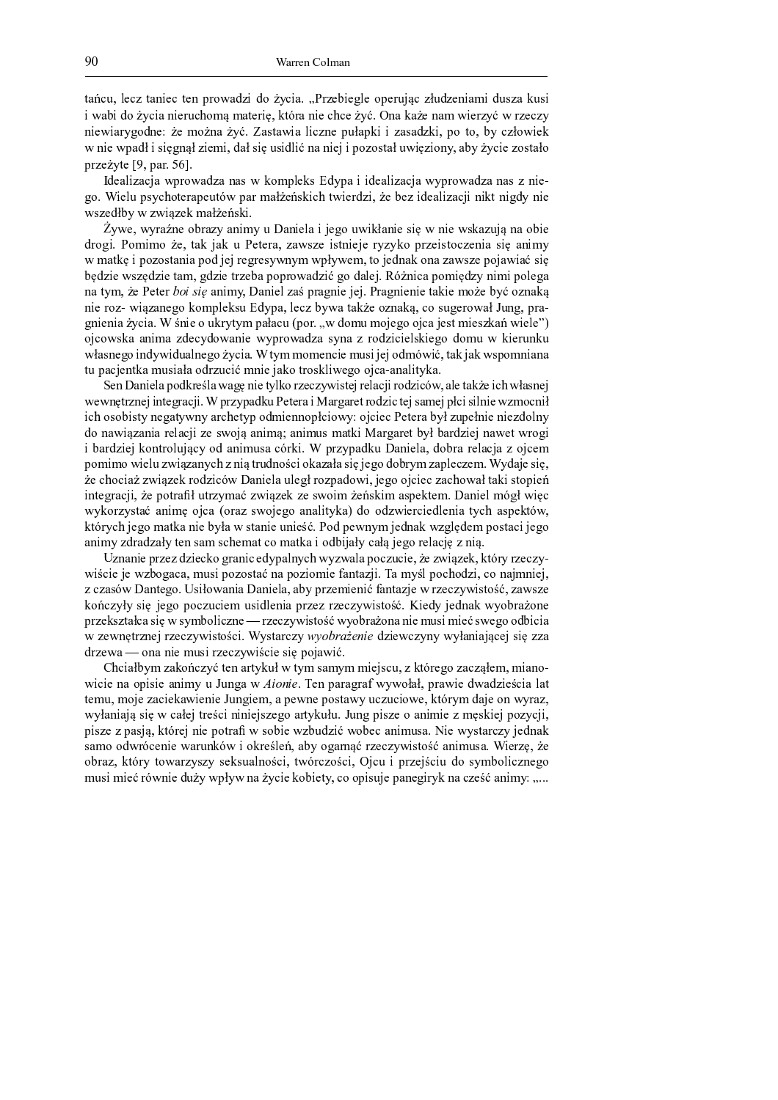$\alpha$  a c d e f g c i g c j a r s t l h g u j a r s t l d w i j a r s t l d o h g i j a z j o h g i j a z j o d o h a  $\alpha$ j <sup>n</sup> <sup>a</sup> <sup>u</sup> <sup>j</sup> <sup>o</sup> <sup>m</sup> <sup>p</sup> <sup>q</sup> <sup>c</sup> <sup>j</sup> <sup>a</sup> <sup>i</sup> <sup>j</sup> <sup>g</sup> <sup>l</sup> <sup>d</sup> <sup>c</sup> } <sup>m</sup> <sup>z</sup> <sup>x</sup> <sup>z</sup> <sup>a</sup> ` <sup>g</sup> <sup>l</sup> <sup>j</sup> <sup>~</sup> <sup>e</sup> <sup>|</sup> ` <sup>l</sup> <sup>a</sup> <sup>i</sup> <sup>j</sup> <sup>g</sup> <sup>c</sup> } <sup>c</sup> <sup>g</sup> <sup>p</sup> <sup>q</sup> <sup>r</sup> <sup>i</sup> <sup>a</sup> <sup>|</sup> <sup>a</sup> <sup>p</sup> <sup>g</sup> <sup>i</sup> <sup>a</sup> <sup>z</sup> <sup>n</sup> <sup>j</sup> <sup>g</sup> <sup>l</sup> <sup>h</sup> <sup>q</sup> <sup>n</sup> <sup>l</sup> <sup>h</sup> <sup>g</sup> <sup>c</sup> <sup>h</sup> <sup>q</sup> i <sup>j</sup> <sup>g</sup> <sup>n</sup> <sup>j</sup> <sup>a</sup> <sup>l</sup> <sup>q</sup> <sup>v</sup> <sup>m</sup> <sup>o</sup> <sup>i</sup> <sup>g</sup> <sup>p</sup> <sup>g</sup> <sup>z</sup> <sup>m</sup> <sup>p</sup> <sup>i</sup> <sup>a</sup> <sup>p</sup> <sup>q</sup> <sup>r</sup> <sup>a</sup> { ` <sup>a</sup> <sup>n</sup> <sup>j</sup> <sup>a</sup> <sup>f</sup> <sup>j</sup> <sup>c</sup> <sup>h</sup> <sup>i</sup> <sup>g</sup> <sup>k</sup> <sup>d</sup> <sup>y</sup> <sup>a</sup> <sup>k</sup> <sup>|</sup> <sup>j</sup> <sup>j</sup> <sup>h</sup> <sup>a</sup> { <sup>a</sup> <sup>o</sup> <sup>h</sup> <sup>|</sup> <sup>j</sup> <sup>e</sup> <sup>k</sup> <sup>m</sup> ` <sup>m</sup> <sup>e</sup> <sup>u</sup> <sup>q</sup> <sup>c</sup> <sup>h</sup> <sup>y</sup> <sup>m</sup> <sup>n</sup> <sup>j</sup> <sup>g</sup> <sup>|</sup> n i j j g n j o a y j o a y i j o f j o f j o f j o f j o f j o f j o f j m i q e a u q c j g h m j g h m { n j k <sup>l</sup> <sup>h</sup> <sup>g</sup> <sup>p</sup> <sup>q</sup> ` <sup>g</sup> <sup>e</sup> <sup>k</sup> <sup>a</sup> <sup>l</sup> <sup>r</sup> <sup>r</sup>

o a n a n a i a i m a i a i a i a f j h a i a c w a i a c w a i a i a f j h a i a i a i a i a i a i a i a i a v m r j g d k g d a k g b j d i j c g a f j h j o h j e p g h j o g a f j h j o g a f j h a c w j d i j v o g n ji biya kara kara ya kara haka wa kasa wa kara haka wa kasa wa kasa wa kasa wa kasa wa kasa wa kasa wa kasa

 $\dot{\sigma}$  is a indicate in the indicate and in just a just a indicate in just a indicate  $\dot{\sigma}$ o l m  $\alpha$  i j a e h a n  $\alpha$  a e h a n  $\alpha$  i j a  $\alpha$  i j a  $\alpha$  i j a  $\alpha$  i j a  $\alpha$ n a i j a k m o w l g v l g n i q n i q n i q n i a n g n g o i a n j a n i a n j a n j a n j a n j a n j a n u a z e v o h j g n j g u a k m n a k m n a s j k m o a f g w r i j c a k m f g w r i j c a k m f g i j z j k i a i n i j i j k l a i j g w r t l a v i j g w r t l a v i j g i j g i j g i j g i j g  $\alpha$  i j g u  $\alpha$ i j g l m a i g d o q k a e f g c h u q n a e f g m a i a i a i a i a i a i a i a i a i v g l m n a y d i v e v i j a r a g i j a g k a y a y a g k m m w c a w g i g i m w g v m m w c a w g i g f g f g f g f g f g f g f m w c a i j g n a i j g n a i j g n a o h a h a h a h j c j g i a h j c j g f g i g v m o m o m z d n i g l d n j o d a f i g v m p q c j a r i g w m o z m o z w m o z d z d z d w m o z z z w m o z z d z z d z z d z z d ` <sup>d</sup> <sup>k</sup> <sup>a</sup> <sup>c</sup> <sup>w</sup> <sup>g</sup> <sup>i</sup> ` <sup>|</sup> <sup>a</sup> <sup>z</sup> <sup>d</sup> { <sup>j</sup> <sup>a</sup> <sup>y</sup> <sup>a</sup> <sup>m</sup> <sup>o</sup> <sup>l</sup> <sup>h</sup> <sup>d</sup> <sup>c</sup> <sup>j</sup> <sup>z</sup> <sup>i</sup> <sup>j</sup> <sup>g</sup> <sup>w</sup> <sup>a</sup> <sup>|</sup> <sup>m</sup> ` <sup>l</sup> <sup>m</sup> { <sup>|</sup> <sup>f</sup> <sup>j</sup> <sup>n</sup> <sup>g</sup> <sup>v</sup> <sup>m</sup> <sup>m</sup> <sup>w</sup> <sup>c</sup> <sup>a</sup> <sup>a</sup> <sup>i</sup> <sup>a</sup> <sup>f</sup> <sup>j</sup> ` <sup>q</sup> <sup>|</sup> <sup>a</sup> <sup>r</sup>

a n 'i ji ji g w l h g c h g n j c h j n j l g w l g i l m o h j l m o h j c i g w j c i g j c w j c l g j c w n g n i g w j a o i g w j a j a j a j a j a j a j f i j g w k y k y k y k y c j g w k y c j f i j g n h z m c j <sup>c</sup> } <sup>m</sup> { <sup>m</sup> <sup>u</sup> <sup>j</sup> { ` <sup>q</sup> <sup>i</sup> <sup>g</sup> <sup>v</sup> <sup>a</sup> ` <sup>q</sup> <sup>n</sup> <sup>i</sup> <sup>q</sup> <sup>a</sup> <sup>l</sup> <sup>c</sup> } <sup>g</sup> ` <sup>q</sup> <sup>k</sup> <sup>m</sup> <sup>o</sup> <sup>z</sup> <sup>j</sup> <sup>g</sup> <sup>i</sup> <sup>i</sup> <sup>m</sup> <sup>k</sup> <sup>y</sup> <sup>c</sup> <sup>j</sup> <sup>m</sup> <sup>n</sup> <sup>q</sup> <sup>m</sup> <sup>w</sup> <sup>c</sup> <sup>j</sup> <sup>g</sup> <sup>c</sup> <sup>t</sup> <sup>g</sup> ` <sup>g</sup> <sup>l</sup> <sup>a</sup> <sup>u</sup> <sup>q</sup> <sup>y</sup> <sup>h</sup> <sup>d</sup> <sup>k</sup> <sup>g</sup> <sup>y</sup> <sup>i</sup> <sup>j</sup> <sup>g</sup> <sup>i</sup> <sup>j</sup> <sup>g</sup> <sup>h</sup> <sup>o</sup> <sup>m</sup> <sup>f</sup> <sup>i</sup> <sup>q</sup>  $\mathbf{a}$  in a in multiple and w  $\mathbf{a}$  in a large when  $\mathbf{a}$  is a large when  $\mathbf{a}$  is a n l m v  $\mathbf{a}$  in  $\mathbf{a}$  when  $\mathbf{a}$  is a n l m v  $\mathbf{a}$  is a n l m v  $\mathbf{a}$  is a n l m v  $\mathbf{a}$  is a n l m v  $\math$ j <sup>u</sup> <sup>a</sup> <sup>l</sup> <sup>o</sup> <sup>h</sup> <sup>j</sup> <sup>g</sup> <sup>w</sup> <sup>|</sup> <sup>m</sup> <sup>i</sup> ` <sup>l</sup> <sup>m</sup> <sup>f</sup> <sup>d</sup> <sup>w</sup> <sup>x</sup> <sup>c</sup> <sup>q</sup> <sup>m</sup> <sup>o</sup> <sup>a</sup> <sup>i</sup> <sup>j</sup> <sup>z</sup> <sup>d</sup> { <sup>a</sup> <sup>c</sup> <sup>l</sup> <sup>|</sup> <sup>j</sup> <sup>r</sup> <sup>k</sup> <sup>l</sup> <sup>h</sup> <sup>q</sup> <sup>k</sup> <sup>a</sup> <sup>o</sup> <sup>|</sup> <sup>d</sup> <sup>a</sup> <sup>i</sup> <sup>j</sup> <sup>g</sup> <sup>f</sup> <sup>a</sup> <sup>e</sup> <sup>o</sup> <sup>m</sup> <sup>u</sup> <sup>l</sup> <sup>a</sup> <sup>l</sup> <sup>g</sup> <sup>f</sup> <sup>a</sup> <sup>c</sup> <sup>w</sup> <sup>a</sup> <sup>h</sup> <sup>m</sup> <sup>w</sup> <sup>c</sup> <sup>g</sup> <sup>z</sup> k <sup>m</sup> <sup>z</sup> <sup>j</sup> <sup>z</sup> <sup>m</sup> <sup>n</sup> <sup>j</sup> <sup>g</sup> <sup>f</sup> <sup>d</sup> <sup>h</sup> <sup>n</sup> <sup>j</sup> <sup>x</sup> <sup>h</sup> <sup>a</sup> <sup>i</sup> <sup>q</sup> <sup>c</sup> } <sup>h</sup> <sup>i</sup> <sup>j</sup> <sup>x</sup> ` <sup>l</sup> <sup>d</sup> <sup>o</sup> <sup>i</sup> <sup>m</sup> <sup>c</sup> <sup>j</sup> <sup>m</sup> <sup>|</sup> <sup>a</sup> <sup>h</sup> <sup>a</sup> <sup>y</sup> <sup>a</sup> { <sup>j</sup> <sup>~</sup> <sup>w</sup> <sup>g</sup> <sup>v</sup> <sup>m</sup> <sup>o</sup> <sup>m</sup> <sup>u</sup> <sup>l</sup> <sup>q</sup> <sup>z</sup> <sup>h</sup> <sup>a</sup> <sup>k</sup> <sup>f</sup> <sup>g</sup> <sup>c</sup> <sup>h</sup> <sup>g</sup> <sup>z</sup> <sup>r</sup> <sup>q</sup> <sup>o</sup> <sup>a</sup> <sup>w</sup> <sup>g</sup> { <sup>j</sup> <sup>~</sup> <sup>e</sup> p j a p n j a n j a m o h a d f g v g c h a o m n j e w g v m m m w c j g c h a c h a c h a c h a y a y a y a , i l a  $\mu$  i d  $\mu$  and  $\mu$  and  $\mu$  i  $\mu$  and  $\mu$  and  $\mu$  and  $\mu$  in  $\mu$  in  $\mu$  in  $\mu$  in  $\mu$  $\mathbf{a}$  is a set of a contract in the following contract in the following  $\mathbf{a}$  in the following  $\mathbf{a}$  and  $\mathbf{a}$  and  $\mathbf{a}$  and  $\mathbf{a}$  and  $\mathbf{a}$  and  $\mathbf{a}$  and  $\mathbf{a}$  and  $\mathbf{a}$  and  $\mathbf{a}$  and  $\math$ | i j d i j j d i j g d i j g d i j g d i j g d i j g n i g o i d i g o i a c j w f t w g z k m { x } y k m { <br>| i a c j w g v m { x } y { x i w g v m } y { x i w g v m } y { x i w g v m } y { x i w y x i w y w g v m } y { a i j z a o h a y c a c a c a c a g a g a y c a j m o u j w a y w a y w a y w g v m l g f a c w g v m l g f a

 h <sup>i</sup> <sup>a</sup> <sup>i</sup> <sup>j</sup> <sup>g</sup> <sup>k</sup> <sup>l</sup> <sup>h</sup> <sup>g</sup> <sup>h</sup> <sup>o</sup> <sup>h</sup> <sup>j</sup> <sup>g</sup> <sup>c</sup> <sup>|</sup> <sup>m</sup> <sup>v</sup> <sup>l</sup> <sup>a</sup> <sup>i</sup> <sup>j</sup> <sup>c</sup> <sup>g</sup> <sup>o</sup> <sup>q</sup> <sup>k</sup> <sup>a</sup> <sup>f</sup> <sup>i</sup> <sup>q</sup> <sup>c</sup> } <sup>n</sup> <sup>q</sup> <sup>h</sup> <sup>n</sup> <sup>a</sup> <sup>f</sup> <sup>a</sup> <sup>k</sup> <sup>m</sup> <sup>c</sup> <sup>h</sup> <sup>d</sup> <sup>c</sup> <sup>j</sup> <sup>g</sup> <sup>e</sup> <sup>p</sup> <sup>g</sup> <sup>h</sup> <sup>n</sup> <sup>j</sup> <sup>x</sup> <sup>h</sup> <sup>g</sup> <sup>|</sup> <sup>e</sup> <sup>|</sup> ` <sup>l</sup> <sup>q</sup> <sup>l</sup> <sup>h</sup> <sup>g</sup> <sup>c</sup> <sup>h</sup> <sup>q</sup> n <sup>j</sup> <sup>c</sup> <sup>j</sup> <sup>g</sup> <sup>w</sup> <sup>g</sup> <sup>n</sup> <sup>h</sup> <sup>u</sup> <sup>m</sup> <sup>v</sup> <sup>a</sup> <sup>c</sup> <sup>a</sup> <sup>e</sup> <sup>z</sup> <sup>d</sup> { <sup>j</sup> <sup>k</sup> <sup>m</sup> <sup>h</sup> <sup>m</sup> { ` <sup>a</sup> <sup>i</sup> <sup>a</sup> <sup>k</sup> <sup>m</sup> <sup>h</sup> <sup>j</sup> <sup>m</sup> <sup>z</sup> <sup>j</sup> <sup>g</sup> <sup>a</sup> <sup>i</sup> ` <sup>a</sup> <sup>h</sup> <sup>w</sup> <sup>j</sup> <sup>r</sup> ¡ <sup>a</sup> <sup>z</sup> <sup>q</sup> <sup>f</sup> <sup>k</sup> <sup>m</sup> <sup>c</sup> } <sup>m</sup> <sup>o</sup> <sup>h</sup> <sup>j</sup> <sup>e</sup> <sup>c</sup> <sup>m</sup> <sup>i</sup> <sup>a</sup> <sup>w</sup> <sup>z</sup> <sup>i</sup> <sup>j</sup> <sup>g</sup> <sup>w</sup> <sup>e</sup>  $\boldsymbol{y}$  if  $\boldsymbol{y}$  is a matrix  $\boldsymbol{y}$  in the set of  $\boldsymbol{y}$  is a set of  $\boldsymbol{y}$  is a set of  $\boldsymbol{y}$  is a non-trivial in  $\boldsymbol{y}$  is a set of  $\boldsymbol{y}$  is a non-trivial in  $\boldsymbol{y}$  is a set of  $\boldsymbol{y}$  is a set of  $\$ | m b c i g i j o f g i j o f g i j a k l h g h l h g i a h l h n j n j g o i a h d w g o i a n q m i a p m i g k <sup>l</sup> <sup>h</sup> <sup>g</sup> <sup>|</sup> { <sup>h</sup> ` <sup>a</sup> <sup>y</sup> <sup>c</sup> <sup>a</sup> { <sup>j</sup> <sup>~</sup> <sup>n</sup> { <sup>q</sup> <sup>z</sup> <sup>u</sup> <sup>m</sup> <sup>f</sup> <sup>j</sup> <sup>c</sup> <sup>h</sup> <sup>i</sup> <sup>g</sup> £ <sup>l</sup> <sup>h</sup> <sup>g</sup> <sup>c</sup> <sup>h</sup> <sup>q</sup> <sup>n</sup> <sup>j</sup> { ` <sup>m</sup> <sup>n</sup> <sup>q</sup> <sup>m</sup> <sup>u</sup> <sup>l</sup> <sup>a</sup> <sup>p</sup> <sup>m</sup> <sup>i</sup> <sup>a</sup> <sup>i</sup> <sup>j</sup> <sup>g</sup> <sup>z</sup> <sup>d</sup> { <sup>j</sup> <sup>z</sup> <sup>j</sup> <sup>g</sup> { <sup>n</sup> <sup>g</sup> <sup>v</sup> <sup>m</sup> <sup>m</sup> <sup>o</sup> <sup>u</sup> <sup>j</sup> <sup>c</sup> <sup>j</sup> <sup>a</sup>  $\mathbf{r} = \mathbf{r} = \mathbf{r} = \mathbf{r} = \mathbf{r} = \mathbf{r} = \mathbf{r} = \mathbf{r} = \mathbf{r} = \mathbf{r} = \mathbf{r} = \mathbf{r} = \mathbf{r} = \mathbf{r} = \mathbf{r} = \mathbf{r} = \mathbf{r} = \mathbf{r} = \mathbf{r} = \mathbf{r} = \mathbf{r} = \mathbf{r} = \mathbf{r} = \mathbf{r} = \mathbf{r} = \mathbf{r} = \mathbf{r} = \mathbf{r} = \mathbf{r} = \mathbf{r} = \mathbf{r} = \mathbf$ o l h g n a i  $\mathcal{L}$  i  $\mathcal{L}$  i  $\mathcal{L}$  i  $\mathcal{L}$  i  $\mathcal{L}$   $\mathcal{L}$  i  $\mathcal{L}$ 

 $\alpha$  , a set of  $\alpha$  is a large  $\alpha$  in the set of  $\alpha$  in the set of  $\alpha$  in the set of  $\alpha$  in the set of  $\alpha$  in the set of  $\alpha$  in the set of  $\alpha$  in the set of  $\alpha$  in the set of  $\alpha$  in the set of  $\alpha$  in the set of n j g a i j g a i v a n a n a n a g i k a l a l a l a i k a n n m y a y e k l a n j g o n a o n a o h j g o n  $\alpha$  and in june a c i v j g i v i g a c h d c h d c h d c h d c h d c j m n g e  $\alpha$  w g m i n  $\alpha$  w g m i n  $\alpha$ n q y a w a w a w { h g v m a l g w m a l y d w d r d i v d i v d w k j g m a i j g h z j g w k m h d c w j e w k je n g h k m i j g n m u j g n h j g n h j n m n m u g n m u g n g o i a l c h j g n q w g o i a l c h q w g { <sup>a</sup> <sup>z</sup> <sup>m</sup> <sup>m</sup> <sup>o</sup> <sup>n</sup> <sup>l</sup> <sup>c</sup> <sup>g</sup> <sup>i</sup> <sup>j</sup> <sup>g</sup> <sup>n</sup> <sup>a</sup> <sup>l</sup> <sup>d</sup> <sup>i</sup> <sup>|</sup> <sup>n</sup> <sup>j</sup> <sup>m</sup> <sup>|</sup> <sup>l</sup> <sup>g</sup> <sup>f</sup> <sup>g</sup> <sup>b</sup> <sup>e</sup> <sup>a</sup> <sup>u</sup> <sup>q</sup> <sup>m</sup> <sup>v</sup> <sup>a</sup> <sup>l</sup> <sup>i</sup> <sup>x</sup> <sup>l</sup> <sup>h</sup> <sup>g</sup> <sup>c</sup> <sup>h</sup> <sup>q</sup> <sup>n</sup> <sup>j</sup> { ` <sup>m</sup> <sup>a</sup> <sup>i</sup> <sup>j</sup> <sup>z</sup> <sup>d</sup> { <sup>a</sup> <sup>r</sup> <sup>j</sup> <sup>g</sup> <sup>l</sup> <sup>h</sup> <sup>~</sup> <sup>e</sup> <sup>p</sup> <sup>g</sup> m a l a ch q a f a f i m a f i m  $\alpha$  i m  $\alpha$  i e  $\alpha$  i e  $\alpha$  i e  $\alpha$  i d o m  $\alpha$  i d o m f i g v m f i g v m f j c h i g v m f j c h i g v m f j c h i g v m f j c h i g v m f j c h i g v m f j c h i g v m f j c h i  $z$  i j  $j$  i a p  $z$  i a p  $i$  g i d w g k a i g w g k a i  $j$  i  $j$  l  $j$  i a i  $j$  i a i  $j$  i  $j$  i  $j$  i  $j$  i  $j$  i  $j$  i  $j$  i  $j$  i  $j$  i  $j$  i  $j$  i  $j$  i  $j$  i  $j$  i  $j$  i  $j$  i  $j$  i  $j$  i  $j$  i  $j$  i  $j$  i  $j$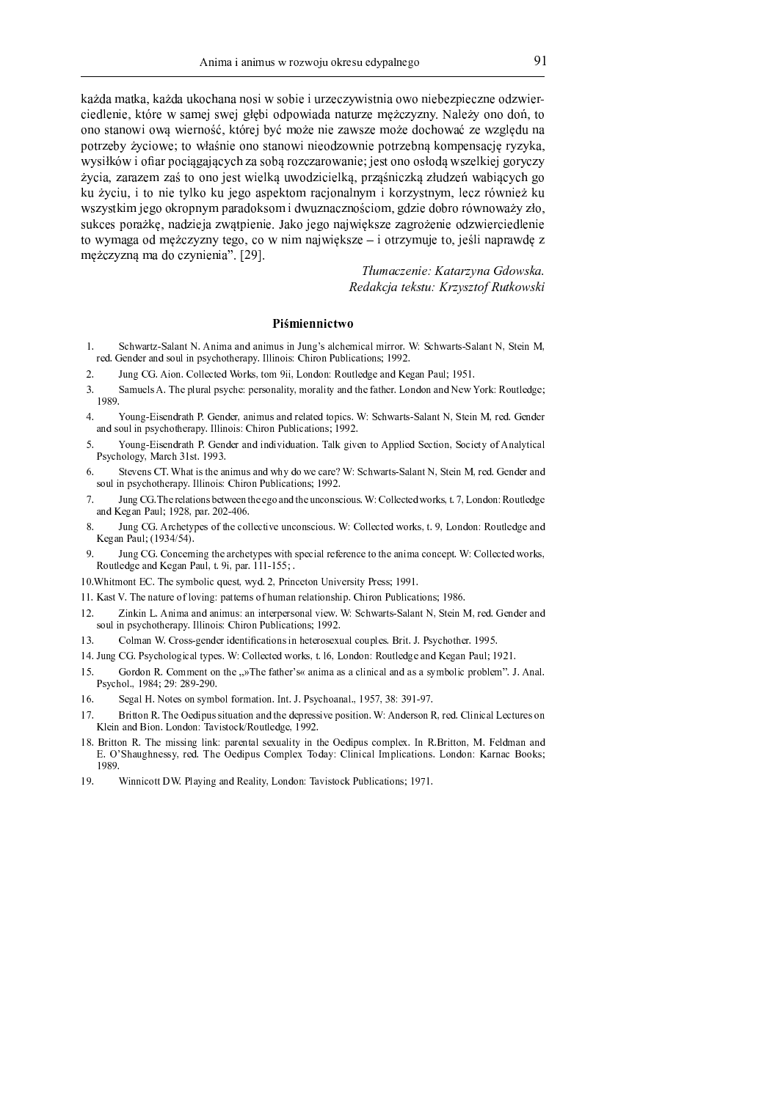$\sim$ 

Ã <sup>Ä</sup> <sup>Å</sup> <sup>Æ</sup> <sup>Ä</sup> <sup>Ç</sup> <sup>Ä</sup> <sup>È</sup> <sup>Ã</sup> <sup>Ä</sup> <sup>É</sup> <sup>Ã</sup> <sup>Ä</sup> <sup>Å</sup> <sup>Æ</sup> <sup>Ä</sup> <sup>Ê</sup> <sup>Ã</sup> <sup>Ë</sup> <sup>Ì</sup> <sup>Í</sup> <sup>Ä</sup> <sup>Î</sup> <sup>Ä</sup> <sup>Î</sup> <sup>Ë</sup> <sup>Ï</sup> <sup>Ð</sup> <sup>Ñ</sup> <sup>Ï</sup> <sup>Ë</sup> <sup>Ò</sup> <sup>Ð</sup> <sup>Ó</sup> <sup>Ð</sup> <sup>Ê</sup> <sup>Ô</sup> <sup>Õ</sup> <sup>Ó</sup> <sup>Ì</sup> <sup>Õ</sup> <sup>Ö</sup> <sup>Ñ</sup> <sup>Ð</sup> <sup>Ï</sup> <sup>È</sup> <sup>Î</sup> <sup>Ð</sup> <sup>Ä</sup> <sup>Ë</sup> <sup>Ñ</sup> <sup>Ë</sup> <sup>Î</sup> <sup>Ð</sup> <sup>Ó</sup> <sup>Ò</sup> <sup>Ó</sup> <sup>Õ</sup> <sup>×</sup> <sup>Ð</sup> <sup>Ó</sup> <sup>Ì</sup> <sup>Õ</sup> <sup>Î</sup> <sup>Ó</sup> <sup>Ë</sup> <sup>Æ</sup> <sup>Õ</sup> <sup>Ñ</sup> <sup>Ð</sup> <sup>Ó</sup> <sup>Ô</sup> <sup>Ø</sup> Ì <sup>Ð</sup> <sup>Ó</sup> <sup>Æ</sup> <sup>Ù</sup> <sup>Ó</sup> <sup>Î</sup> <sup>Ð</sup> <sup>Ó</sup> <sup>É</sup> <sup>Ã</sup> <sup>È</sup> <sup>Ú</sup> <sup>Ô</sup> <sup>Ó</sup> <sup>Ñ</sup> <sup>Ï</sup> <sup>Ä</sup> <sup>Ç</sup> <sup>Ó</sup> <sup>Û</sup> <sup>Ï</sup> <sup>Ñ</sup> <sup>Ó</sup> <sup>Û</sup> <sup>Ü</sup> <sup>Ý</sup> <sup>Þ</sup> <sup>Ò</sup> <sup>Ð</sup> <sup>Ë</sup> <sup>Æ</sup> <sup>×</sup> <sup>Ë</sup> <sup>Ñ</sup> <sup>Ð</sup> <sup>Ä</sup> <sup>Æ</sup> <sup>Ä</sup> <sup>Î</sup> <sup>Ä</sup> <sup>È</sup> <sup>Ê</sup> <sup>Ô</sup> <sup>Õ</sup> <sup>Ó</sup> <sup>Ç</sup> <sup>Þ</sup> <sup>Å</sup> <sup>Ì</sup> <sup>Õ</sup> <sup>Ö</sup> <sup>Õ</sup> <sup>Î</sup> <sup>Ö</sup> <sup>ß</sup> <sup>à</sup> <sup>Ä</sup> <sup>Ù</sup> <sup>Ó</sup> <sup>Å</sup> <sup>Ö</sup> <sup>Ë</sup> <sup>Î</sup> <sup>Ë</sup> <sup>Æ</sup> <sup>Ë</sup> <sup>á</sup> <sup>É</sup> <sup>È</sup> <sup>Ë</sup> Ë <sup>Î</sup> <sup>Ë</sup> <sup>Ï</sup> <sup>È</sup> <sup>Ä</sup> <sup>Î</sup> <sup>Ë</sup> <sup>Ñ</sup> <sup>Ð</sup> <sup>Ë</sup> <sup>Ñ</sup> <sup>â</sup> <sup>Ñ</sup> <sup>Ð</sup> <sup>Ó</sup> <sup>Ô</sup> <sup>Î</sup> <sup>Ë</sup> <sup>ã</sup> <sup>ä</sup> <sup>É</sup> <sup>Ã</sup> <sup>È</sup> <sup>Ú</sup> <sup>Ô</sup> <sup>Ó</sup> <sup>Û</sup> <sup>Ò</sup> <sup>Ö</sup> <sup>ä</sup> <sup>Ç</sup> <sup>Ë</sup> <sup>Å</sup> <sup>Ó</sup> <sup>Î</sup> <sup>Ð</sup> <sup>Ó</sup> <sup>Õ</sup> <sup>Ä</sup> <sup>Ñ</sup> <sup>Ï</sup> <sup>Õ</sup> <sup>Ó</sup> <sup>Ç</sup> <sup>Ë</sup> <sup>Å</sup> <sup>Ó</sup> <sup>Æ</sup> <sup>Ë</sup> <sup>Ì</sup> <sup>Í</sup> <sup>Ë</sup> <sup>Ñ</sup> <sup>Ä</sup> <sup>ä</sup> <sup>Õ</sup> <sup>Ó</sup> <sup>Ñ</sup> <sup>Õ</sup> <sup>Ü</sup> <sup>Ù</sup> <sup>Þ</sup> <sup>Æ</sup> <sup>Ê</sup> <sup>Î</sup> <sup>Ä</sup> × <sup>Ë</sup> <sup>È</sup> <sup>Ô</sup> <sup>Õ</sup> <sup>Ó</sup> <sup>Ò</sup> <sup>Ö</sup> <sup>Å</sup> <sup>Ö</sup> <sup>Ì</sup> <sup>Ð</sup> <sup>Ë</sup> <sup>Ñ</sup> <sup>Ó</sup> <sup>å</sup> <sup>È</sup> <sup>Ë</sup> <sup>Ñ</sup> <sup>Ý</sup> <sup>Ä</sup> <sup>ã</sup> <sup>Î</sup> <sup>Ð</sup> <sup>Ó</sup> <sup>Ë</sup> <sup>Î</sup> <sup>Ë</sup> <sup>Ï</sup> <sup>È</sup> <sup>Ä</sup> <sup>Î</sup> <sup>Ë</sup> <sup>Ñ</sup> <sup>Ð</sup> <sup>Î</sup> <sup>Ð</sup> <sup>Ó</sup> <sup>Ë</sup> <sup>Æ</sup> <sup>Õ</sup> <sup>Ë</sup> <sup>Ñ</sup> <sup>Î</sup> <sup>Ð</sup> <sup>Ó</sup> <sup>×</sup> <sup>Ë</sup> <sup>È</sup> <sup>Ô</sup> <sup>Õ</sup> <sup>Ó</sup> <sup>Ò</sup> <sup>Î</sup> <sup>â</sup> <sup>Ã</sup> <sup>Ë</sup> <sup>Ç</sup> <sup>×</sup> <sup>Ó</sup> <sup>Î</sup> <sup>Ï</sup> <sup>Ä</sup> <sup>Ì</sup> <sup>Û</sup> <sup>Þ</sup> <sup>Ô</sup> <sup>Ö</sup> <sup>Õ</sup> <sup>Ö</sup> <sup>Ã</sup> <sup>Ä</sup> <sup>É</sup> Ñ Ö Ö Ö Ö Ö Ö Ö Ö Ö Ö Ö Ö Ä Ö Ö Ä Ö Ö Ä Ö Ö Ä Ö Ö Ö Ä Ö Ö Ä Ö Ö Ä Ö Ö Ä Ö Ö Ä Ö Ä Ö Ä Ö Ä Ö Ö Ä Ö Ö Ö Ä Ö Ö Ä Ä  $\ddot{\quad}$ Ã <sup>Ê</sup> <sup>Å</sup> <sup>Ö</sup> <sup>Ì</sup> <sup>Ð</sup> <sup>Ê</sup> <sup>É</sup> <sup>Ð</sup> <sup>È</sup> <sup>Ë</sup> <sup>Î</sup> <sup>Ð</sup> <sup>Ó</sup> <sup>È</sup> <sup>Ö</sup> <sup>Ù</sup> <sup>Ã</sup> <sup>Ë</sup> <sup>Ã</sup> <sup>Ê</sup> <sup>Û</sup> <sup>Ó</sup> <sup>Ü</sup> <sup>Ë</sup> <sup>Ä</sup> <sup>Ï</sup> <sup>×</sup> <sup>Ó</sup> <sup>Ã</sup> <sup>È</sup> <sup>Ë</sup> <sup>Ç</sup> <sup>Ô</sup> <sup>Ä</sup> <sup>Ì</sup> <sup>Û</sup> <sup>Ë</sup> <sup>Î</sup> <sup>Ä</sup> <sup>Ù</sup> <sup>Î</sup> <sup>Ö</sup> <sup>Ç</sup> <sup>Ð</sup> <sup>Ã</sup> <sup>Ë</sup> <sup>Ô</sup> <sup>Õ</sup> <sup>Ö</sup> <sup>Ï</sup> <sup>È</sup> <sup>Î</sup> <sup>Ö</sup> <sup>Ç</sup> <sup>É</sup> <sup>Ù</sup> <sup>Ó</sup> <sup>Ì</sup> <sup>Õ</sup> <sup>Ô</sup> <sup>Ú</sup> <sup>Ñ</sup> <sup>Î</sup> <sup>Ð</sup> <sup>Ó</sup> <sup>Å</sup> <sup>Ã</sup> <sup>Ê</sup> Ñ <sup>Ï</sup> <sup>Õ</sup> <sup>Ö</sup> <sup>Ï</sup> <sup>È</sup> <sup>Ã</sup> <sup>Ð</sup> <sup>Ç</sup> <sup>Û</sup> <sup>Ó</sup> <sup>Ü</sup> <sup>Ë</sup> <sup>Ë</sup> <sup>Ã</sup> <sup>Ô</sup> <sup>Ë</sup> <sup>×</sup> <sup>Î</sup> <sup>Ö</sup> <sup>Ç</sup> <sup>×</sup> <sup>Ä</sup> <sup>Ô</sup> <sup>Ä</sup> <sup>Æ</sup> <sup>Ë</sup> <sup>Ã</sup> <sup>Ï</sup> <sup>Ë</sup> <sup>Ç</sup> <sup>Ð</sup> <sup>Æ</sup> <sup>Ñ</sup> <sup>Ê</sup> <sup>Õ</sup> <sup>Î</sup> <sup>Ä</sup> <sup>Ì</sup> <sup>Õ</sup> <sup>Î</sup> <sup>Ë</sup> <sup>ã</sup> <sup>Ì</sup> <sup>Ð</sup> <sup>Ë</sup> <sup>Ç</sup> <sup>É</sup> <sup>Ü</sup> <sup>Æ</sup> <sup>Õ</sup> <sup>Ð</sup> <sup>Ó</sup> <sup>Æ</sup> <sup>Ë</sup> <sup>Ò</sup> <sup>Ô</sup> <sup>Ë</sup> <sup>Ô</sup> <sup>Ú</sup> <sup>Ñ</sup> <sup>Î</sup> <sup>Ë</sup> <sup>Ñ</sup> <sup>Ä</sup> <sup>Å</sup> <sup>Ö</sup> <sup>Õ</sup> <sup>Ý</sup> <sup>Ë</sup> <sup>É</sup>  $\blacksquare$ È <sup>Ë</sup> <sup>Ñ</sup> <sup>Ö</sup> <sup>Ç</sup> <sup>Ä</sup> <sup>Ü</sup> <sup>Ä</sup> <sup>Ë</sup> <sup>Æ</sup> <sup>Ç</sup> <sup>Þ</sup> <sup>Å</sup> <sup>Ì</sup> <sup>Õ</sup> <sup>Ö</sup> <sup>Õ</sup> <sup>Î</sup> <sup>Ö</sup> <sup>È</sup> <sup>Ó</sup> <sup>Ü</sup> <sup>Ë</sup> <sup>É</sup> <sup>Ì</sup> <sup>Ë</sup> <sup>Ñ</sup> <sup>Î</sup> <sup>Ð</sup> <sup>Ç</sup> <sup>Î</sup> <sup>Ä</sup> <sup>Û</sup> <sup>Ñ</sup> <sup>Ð</sup> <sup>Þ</sup> <sup>Ã</sup> <sup>Ï</sup> <sup>Õ</sup> <sup>Ó</sup> <sup>è</sup> <sup>Ð</sup> <sup>Ë</sup> <sup>È</sup> <sup>Ô</sup> <sup>Õ</sup> <sup>Ö</sup> <sup>Ç</sup> <sup>Ê</sup> <sup>Û</sup> <sup>Ó</sup> <sup>È</sup> <sup>Ë</sup> <sup>É</sup> <sup>Û</sup> <sup>Ó</sup> <sup>ã</sup> <sup>Ù</sup> <sup>Ð</sup> <sup>Î</sup> <sup>Ä</sup> <sup>×</sup> <sup>Ô</sup> <sup>Ä</sup> <sup>Ñ</sup> <sup>Æ</sup> <sup>Þ</sup> <sup>Õ</sup> Ç <sup>Þ</sup> <sup>Å</sup> <sup>Ì</sup> <sup>Õ</sup> <sup>Ö</sup> <sup>Õ</sup> <sup>Î</sup> <sup>â</sup> <sup>Ç</sup> <sup>Ä</sup> <sup>Æ</sup> <sup>Ë</sup> <sup>Ì</sup> <sup>Õ</sup> <sup>Ö</sup> <sup>Î</sup> <sup>Ð</sup> <sup>Ó</sup> <sup>Î</sup> <sup>Ð</sup> <sup>Ä</sup> <sup>é</sup> <sup>ß</sup> <sup>ê</sup> <sup>ë</sup> <sup>ì</sup> <sup>í</sup> <sup>ß</sup>

> î <sup>ï</sup> <sup>ð</sup> <sup>ñ</sup> <sup>ò</sup> <sup>ó</sup> <sup>ô</sup> <sup>õ</sup> <sup>ö</sup> <sup>÷</sup> <sup>õ</sup> <sup>ø</sup> <sup>ù</sup> <sup>ò</sup> <sup>ú</sup> <sup>ò</sup> <sup>û</sup> <sup>ô</sup> <sup>ü</sup> <sup>ö</sup> <sup>ò</sup> <sup>ý</sup> <sup>þ</sup> <sup>ÿ</sup> - <sup>ò</sup> – † † † † † † † † † † † †

#### 

- 1. Schwartz-Salant N. Anima and animus in Jung's alchemical mirror. W: Schwarts-Salant N, Stein M, red. Gender and soul in psychotherapy. Illinois: Chiron Publications; 1992.
- 2. Jung CG. Aion. Collected Works, tom 9ii, London: Routledge and Kegan Paul; 1951.
- 3. Samuels A, The plural psyche: personality, morality and the father, London and New York: Routledge: 1989
- 4. Young-Eisendrath P. Gender, animus and related topics. W: Schwarts-Salant N, Stein M, red. Gender and soul in psychotherapy. Illinois: Chiron Publications; 1992.
- 5. Young-Eisendrath P, Gender and individuation. Talk given to Applied Section, Society of Analytical Psychology, March 31st. 1993.
- 6. Stevens CT. What is the animus and why do we care? W: Schwarts-Salant N, Stein M, red. Gender and soul in nsychotherany. Illinois: Chiron Publications: 1992
- $\overline{7}$  $\mathbf r$  acomplise the distribution of  $\mathbf r$  and  $\mathbf r$  is the  $\mathbf r$ and Kegan Paul: 1928, par. 202-406
- 8. Jung CG. Archetypes of the collective unconscious. W: Collected works, t. 9, London: Routledge and Kegan Paul: (1934/54).
- 9. Jung CG. Concerning the archetypes with special reference to the anima concept. W: Collected works, Routledge and Kegan Paul, t. 9i, par. 111-155; .
- 10. Whitmont EC. The symbolic quest, wyd. 2, Princeton University Press; 1991.
- 11. Kast V. The nature of loving; patterns of human relationship. Chiron Publications; 1986.
- 12. Zinkin L, Anima and animus; an interpersonal view, W: Schwarts-Salant N, Stein M, red, Gender and soul in psychotherapy. Illinois: Chiron Publications; 1992.
- 13. Colman W. Cross-gender identifications in heterosexual couples. Brit. J. Psychother. 1995.
- 14. Jung CG. Psychological types. W: Collected works, t. 16, London: Routledge and Kegan Paul; 1921.
- 15. Gordon R, Comment on the "»The father's« anima as a clinical and as a symbolic problem". J. Anal. Psychol., 1984; 29: 289-290.
- 16. Segal H. Notes on symbol formation. Int. J. Psychoanal., 1957, 38: 391-97.
- $\cdot$ Britton R. The Oedipus situation and the depressive position. W: Anderson R, red. Clinical Lectures on Klein and Bion. London: Tavistock/Routledge, 1992.
- 18. Britton R. The missing link: parental sexuality in the Oedipus complex. In R. Britton, M. Feldman and E. O'Shaughnessy, red. The Oedipus Complex Today: Clinical Implications. London: Karnac Books; 1989
- <sup>6</sup> \* ) <sup>Z</sup> \* <sup>3</sup> <sup>0</sup> & " : ( <sup>0</sup> , <sup>9</sup> ) " ) <sup>+</sup> <sup>&</sup>gt; D \$ ) <sup>8</sup> <sup>3</sup> # <sup>4</sup> ) \$ <sup>5</sup> <sup>6</sup> <sup>G</sup>